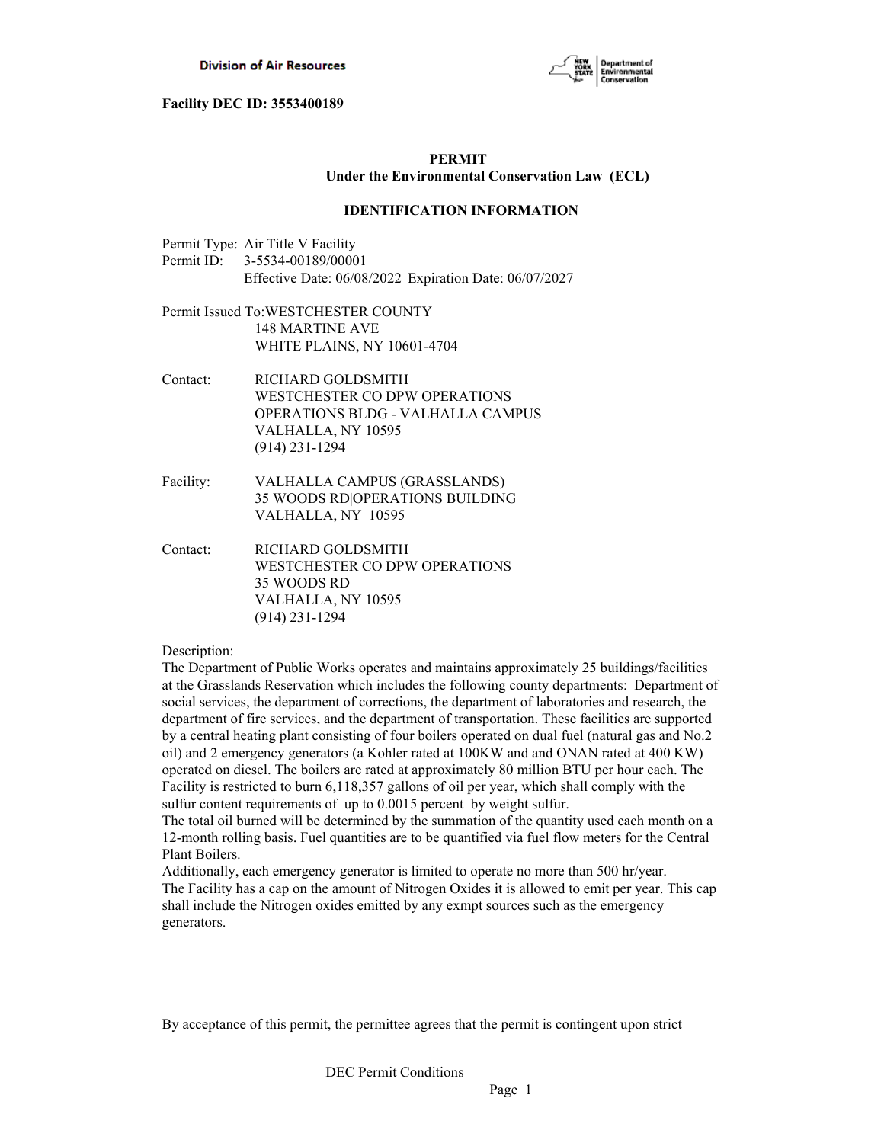

# **PERMIT Under the Environmental Conservation Law (ECL)**

## **IDENTIFICATION INFORMATION**

- Permit Type: Air Title V Facility Permit ID: 3-5534-00189/00001 Effective Date: 06/08/2022 Expiration Date: 06/07/2027
- Permit Issued To:WESTCHESTER COUNTY 148 MARTINE AVE WHITE PLAINS, NY 10601-4704
- Contact: RICHARD GOLDSMITH WESTCHESTER CO DPW OPERATIONS OPERATIONS BLDG - VALHALLA CAMPUS VALHALLA, NY 10595 (914) 231-1294
- Facility: VALHALLA CAMPUS (GRASSLANDS) 35 WOODS RD|OPERATIONS BUILDING VALHALLA, NY 10595
- Contact: RICHARD GOLDSMITH WESTCHESTER CO DPW OPERATIONS 35 WOODS RD VALHALLA, NY 10595 (914) 231-1294

#### Description:

The Department of Public Works operates and maintains approximately 25 buildings/facilities at the Grasslands Reservation which includes the following county departments: Department of social services, the department of corrections, the department of laboratories and research, the department of fire services, and the department of transportation. These facilities are supported by a central heating plant consisting of four boilers operated on dual fuel (natural gas and No.2 oil) and 2 emergency generators (a Kohler rated at 100KW and and ONAN rated at 400 KW) operated on diesel. The boilers are rated at approximately 80 million BTU per hour each. The Facility is restricted to burn 6,118,357 gallons of oil per year, which shall comply with the sulfur content requirements of up to 0.0015 percent by weight sulfur.

The total oil burned will be determined by the summation of the quantity used each month on a 12-month rolling basis. Fuel quantities are to be quantified via fuel flow meters for the Central Plant Boilers.

Additionally, each emergency generator is limited to operate no more than 500 hr/year. The Facility has a cap on the amount of Nitrogen Oxides it is allowed to emit per year. This cap shall include the Nitrogen oxides emitted by any exmpt sources such as the emergency generators.

By acceptance of this permit, the permittee agrees that the permit is contingent upon strict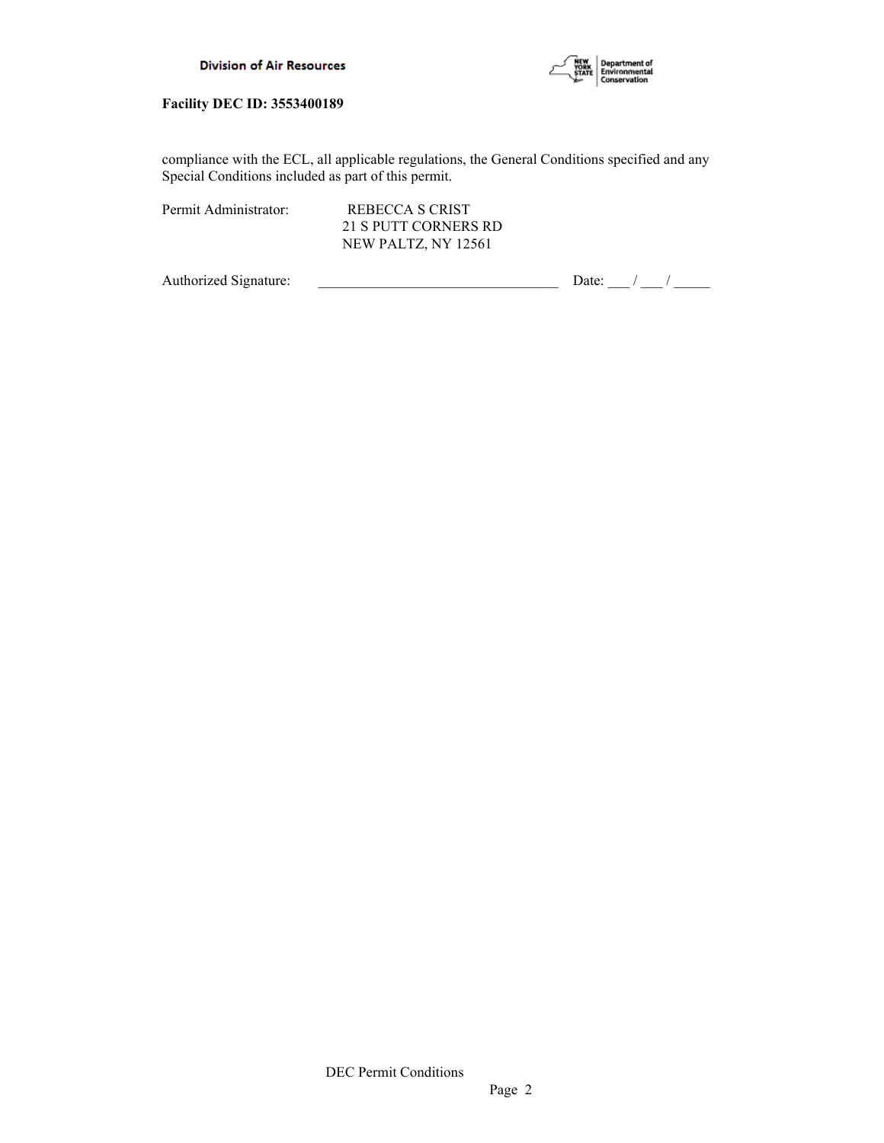

compliance with the ECL, all applicable regulations, the General Conditions specified and any Special Conditions included as part of this permit.

Permit Administrator: REBECCA S CRIST

 21 S PUTT CORNERS RD NEW PALTZ, NY 12561

Authorized Signature:  $\frac{1}{\sqrt{2\pi}}$  Date:  $\frac{1}{\sqrt{2\pi}}$  Date:  $\frac{1}{\sqrt{2\pi}}$  /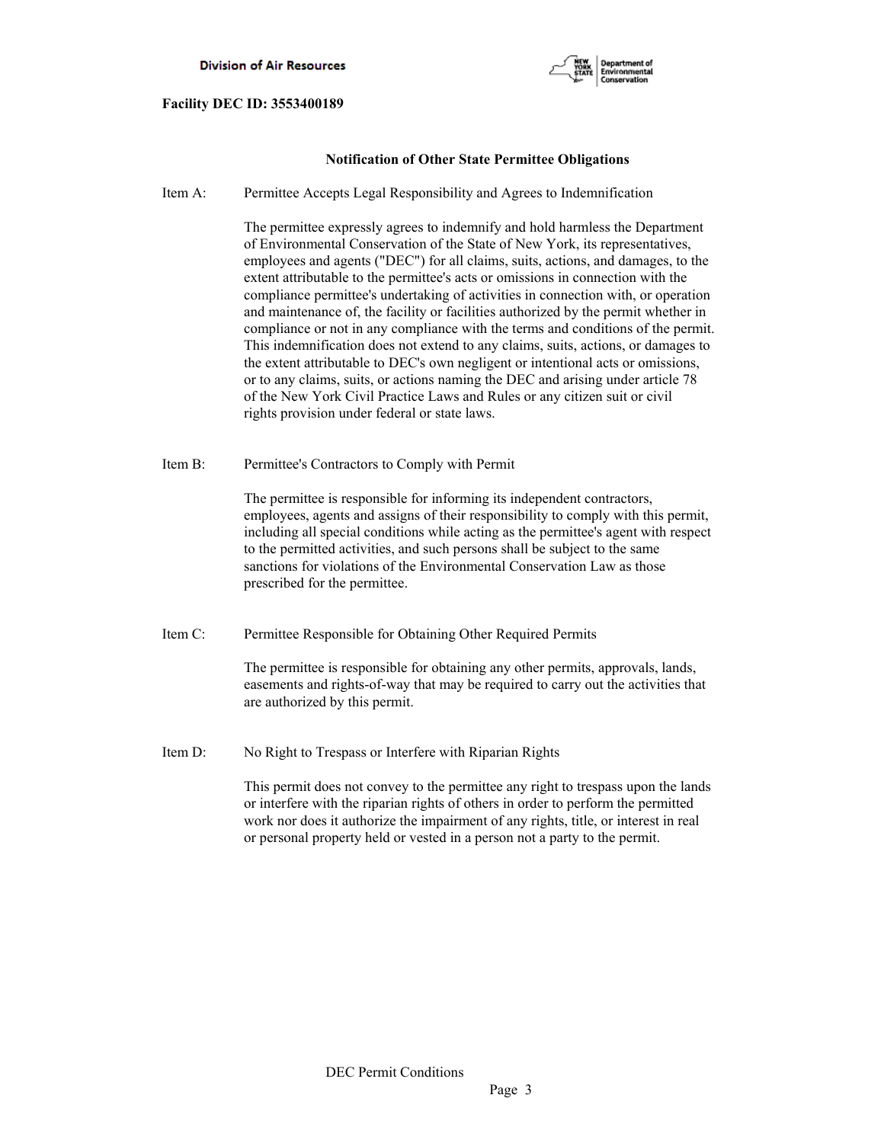

# **Notification of Other State Permittee Obligations**

Item A: Permittee Accepts Legal Responsibility and Agrees to Indemnification

 The permittee expressly agrees to indemnify and hold harmless the Department of Environmental Conservation of the State of New York, its representatives, employees and agents ("DEC") for all claims, suits, actions, and damages, to the extent attributable to the permittee's acts or omissions in connection with the compliance permittee's undertaking of activities in connection with, or operation and maintenance of, the facility or facilities authorized by the permit whether in compliance or not in any compliance with the terms and conditions of the permit. This indemnification does not extend to any claims, suits, actions, or damages to the extent attributable to DEC's own negligent or intentional acts or omissions, or to any claims, suits, or actions naming the DEC and arising under article 78 of the New York Civil Practice Laws and Rules or any citizen suit or civil rights provision under federal or state laws.

Item B: Permittee's Contractors to Comply with Permit

 The permittee is responsible for informing its independent contractors, employees, agents and assigns of their responsibility to comply with this permit, including all special conditions while acting as the permittee's agent with respect to the permitted activities, and such persons shall be subject to the same sanctions for violations of the Environmental Conservation Law as those prescribed for the permittee.

Item C: Permittee Responsible for Obtaining Other Required Permits

 The permittee is responsible for obtaining any other permits, approvals, lands, easements and rights-of-way that may be required to carry out the activities that are authorized by this permit.

Item D: No Right to Trespass or Interfere with Riparian Rights

 This permit does not convey to the permittee any right to trespass upon the lands or interfere with the riparian rights of others in order to perform the permitted work nor does it authorize the impairment of any rights, title, or interest in real or personal property held or vested in a person not a party to the permit.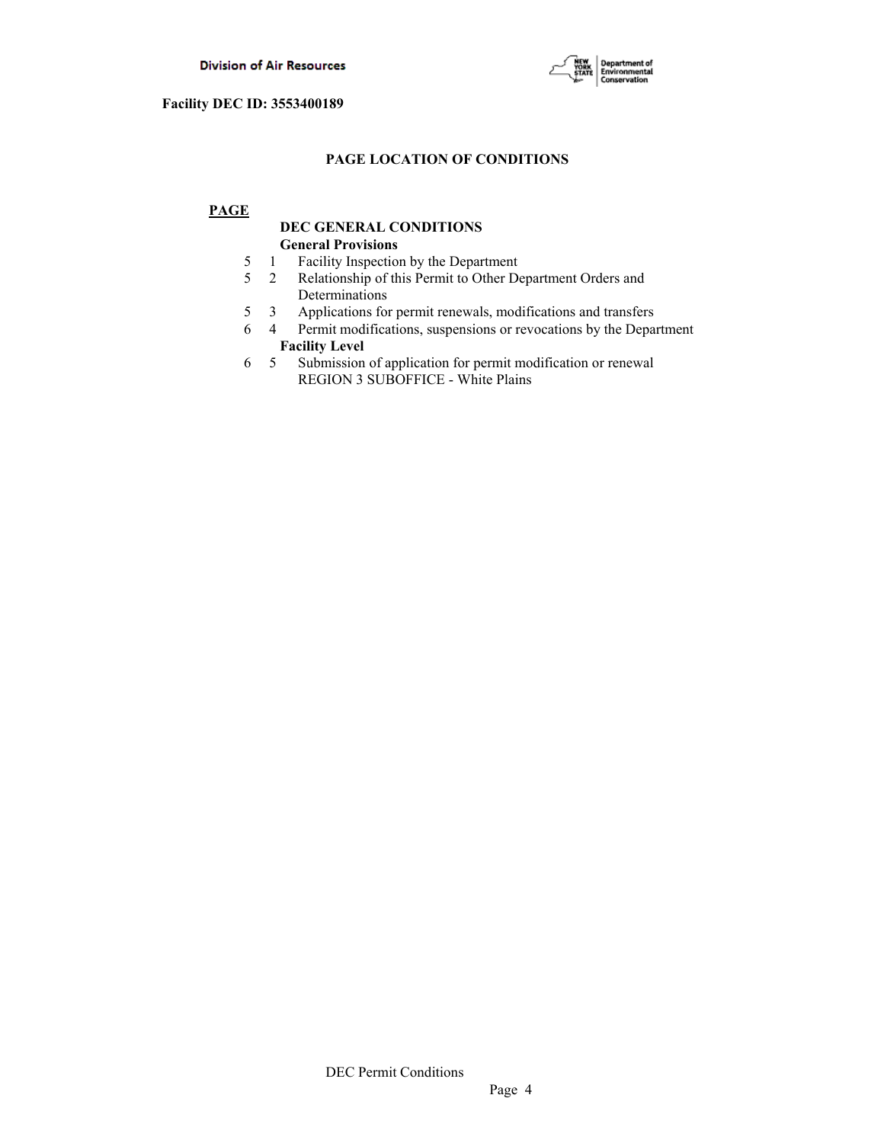

# **PAGE LOCATION OF CONDITIONS**

# **PAGE**

# **DEC GENERAL CONDITIONS General Provisions**

- 5 1 Facility Inspection by the Department
- 5 2 Relationship of this Permit to Other Department Orders and Determinations
- 5 3 Applications for permit renewals, modifications and transfers
- 6 4 Permit modifications, suspensions or revocations by the Department  **Facility Level**
- 6 5 Submission of application for permit modification or renewal REGION 3 SUBOFFICE - White Plains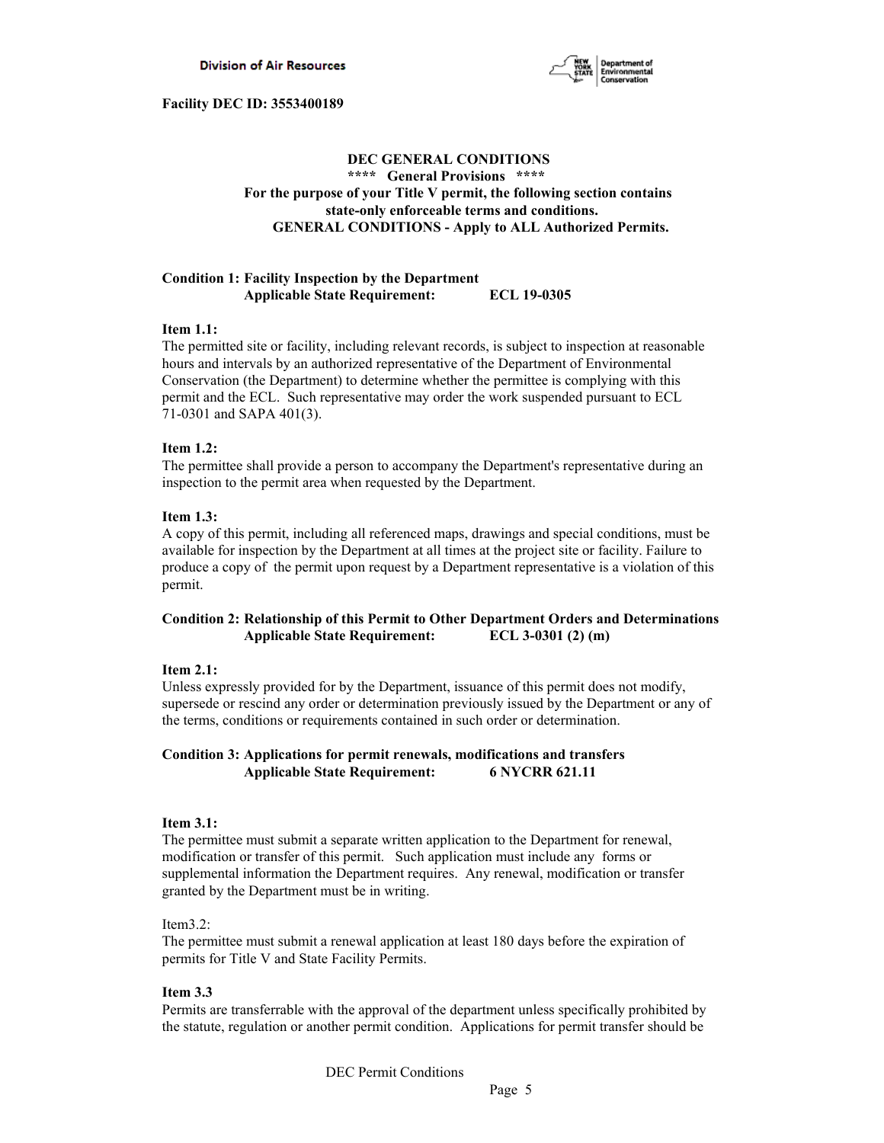

# **DEC GENERAL CONDITIONS \*\*\*\* General Provisions \*\*\*\* For the purpose of your Title V permit, the following section contains state-only enforceable terms and conditions. GENERAL CONDITIONS - Apply to ALL Authorized Permits.**

## **Condition 1: Facility Inspection by the Department Applicable State Requirement: ECL 19-0305**

## **Item 1.1:**

The permitted site or facility, including relevant records, is subject to inspection at reasonable hours and intervals by an authorized representative of the Department of Environmental Conservation (the Department) to determine whether the permittee is complying with this permit and the ECL. Such representative may order the work suspended pursuant to ECL 71-0301 and SAPA 401(3).

## **Item 1.2:**

The permittee shall provide a person to accompany the Department's representative during an inspection to the permit area when requested by the Department.

## **Item 1.3:**

A copy of this permit, including all referenced maps, drawings and special conditions, must be available for inspection by the Department at all times at the project site or facility. Failure to produce a copy of the permit upon request by a Department representative is a violation of this permit.

# **Condition 2: Relationship of this Permit to Other Department Orders and Determinations Applicable State Requirement: ECL 3-0301 (2) (m)**

## **Item 2.1:**

Unless expressly provided for by the Department, issuance of this permit does not modify, supersede or rescind any order or determination previously issued by the Department or any of the terms, conditions or requirements contained in such order or determination.

## **Condition 3: Applications for permit renewals, modifications and transfers Applicable State Requirement: 6 NYCRR 621.11**

## **Item 3.1:**

The permittee must submit a separate written application to the Department for renewal, modification or transfer of this permit. Such application must include any forms or supplemental information the Department requires. Any renewal, modification or transfer granted by the Department must be in writing.

## Item3.2:

The permittee must submit a renewal application at least 180 days before the expiration of permits for Title V and State Facility Permits.

## **Item 3.3**

Permits are transferrable with the approval of the department unless specifically prohibited by the statute, regulation or another permit condition. Applications for permit transfer should be

DEC Permit Conditions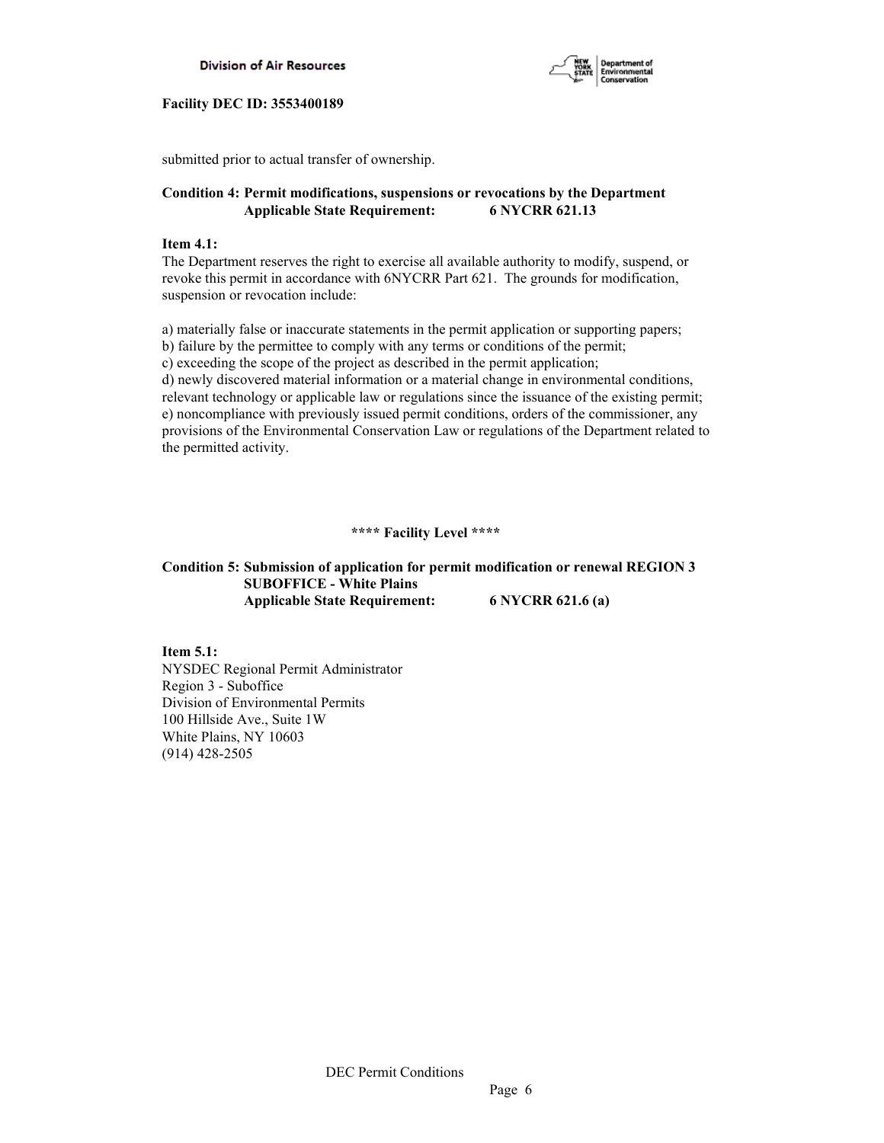



submitted prior to actual transfer of ownership.

# **Condition 4: Permit modifications, suspensions or revocations by the Department Applicable State Requirement: 6 NYCRR 621.13**

## **Item 4.1:**

The Department reserves the right to exercise all available authority to modify, suspend, or revoke this permit in accordance with 6NYCRR Part 621. The grounds for modification, suspension or revocation include:

a) materially false or inaccurate statements in the permit application or supporting papers; b) failure by the permittee to comply with any terms or conditions of the permit; c) exceeding the scope of the project as described in the permit application; d) newly discovered material information or a material change in environmental conditions, relevant technology or applicable law or regulations since the issuance of the existing permit; e) noncompliance with previously issued permit conditions, orders of the commissioner, any provisions of the Environmental Conservation Law or regulations of the Department related to the permitted activity.

# **\*\*\*\* Facility Level \*\*\*\***

# **Condition 5: Submission of application for permit modification or renewal REGION 3 SUBOFFICE - White Plains Applicable State Requirement: 6 NYCRR 621.6 (a)**

**Item 5.1:** NYSDEC Regional Permit Administrator Region 3 - Suboffice Division of Environmental Permits 100 Hillside Ave., Suite 1W White Plains, NY 10603 (914) 428-2505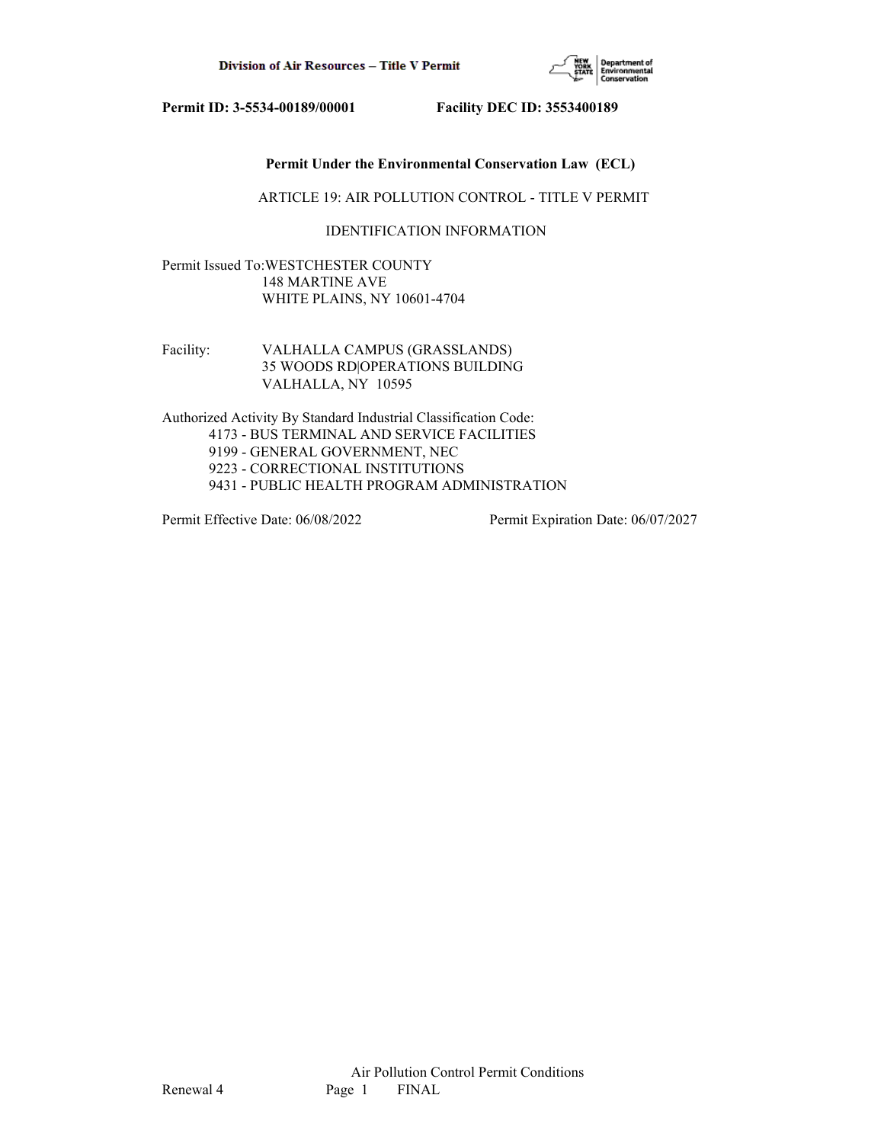

## **Permit Under the Environmental Conservation Law (ECL)**

ARTICLE 19: AIR POLLUTION CONTROL - TITLE V PERMIT

## IDENTIFICATION INFORMATION

Permit Issued To:WESTCHESTER COUNTY 148 MARTINE AVE WHITE PLAINS, NY 10601-4704

Facility: VALHALLA CAMPUS (GRASSLANDS) 35 WOODS RD|OPERATIONS BUILDING VALHALLA, NY 10595

Authorized Activity By Standard Industrial Classification Code: 4173 - BUS TERMINAL AND SERVICE FACILITIES 9199 - GENERAL GOVERNMENT, NEC 9223 - CORRECTIONAL INSTITUTIONS 9431 - PUBLIC HEALTH PROGRAM ADMINISTRATION

Permit Effective Date: 06/08/2022 Permit Expiration Date: 06/07/2027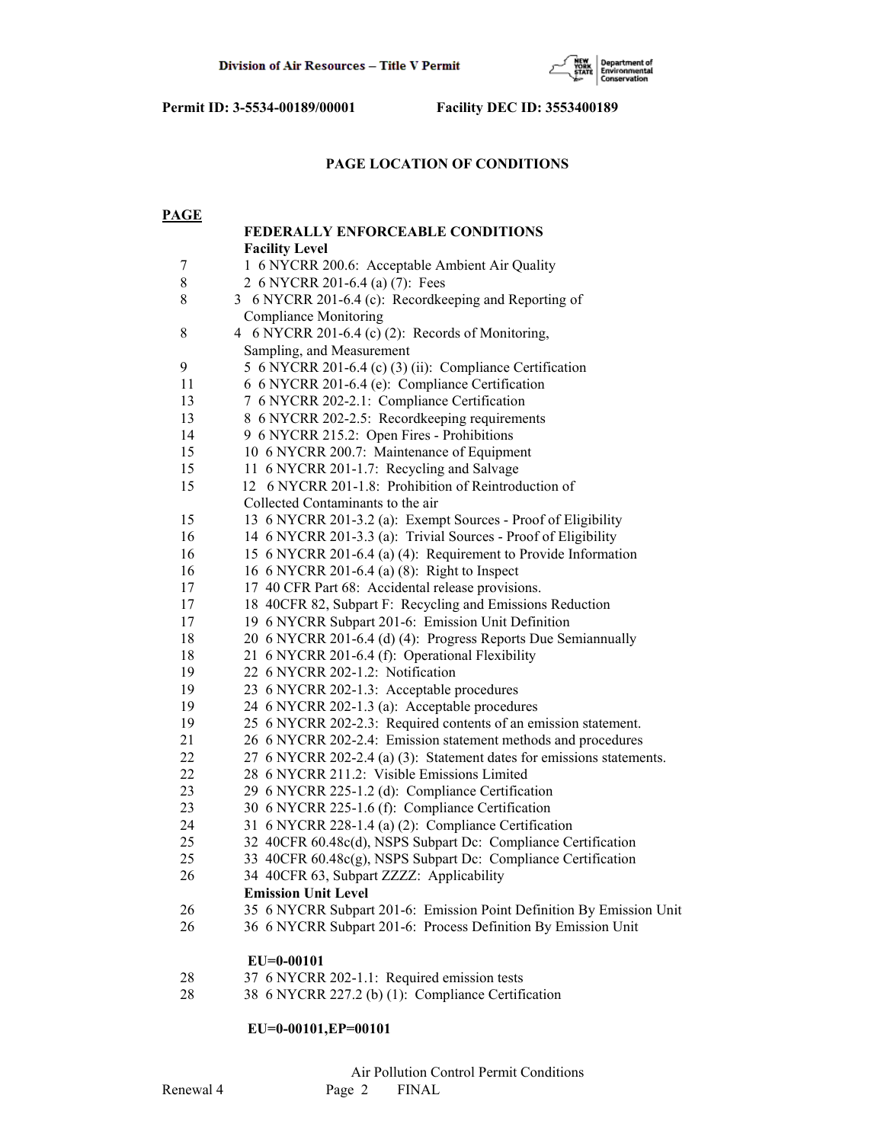

## **PAGE LOCATION OF CONDITIONS**

| <b>PAGE</b> |                                                                       |
|-------------|-----------------------------------------------------------------------|
|             | <b>FEDERALLY ENFORCEABLE CONDITIONS</b>                               |
|             | <b>Facility Level</b>                                                 |
| 7           | 1 6 NYCRR 200.6: Acceptable Ambient Air Quality                       |
| $8\,$       | 2 6 NYCRR 201-6.4 (a) (7): Fees                                       |
| $\,$ 8 $\,$ | 3 6 NYCRR 201-6.4 (c): Recordkeeping and Reporting of                 |
|             | <b>Compliance Monitoring</b>                                          |
| $8\,$       | 4 6 NYCRR 201-6.4 (c) (2): Records of Monitoring,                     |
|             | Sampling, and Measurement                                             |
| 9           | 5 6 NYCRR 201-6.4 (c) (3) (ii): Compliance Certification              |
| 11          | 6 6 NYCRR 201-6.4 (e): Compliance Certification                       |
| 13          | 7 6 NYCRR 202-2.1: Compliance Certification                           |
| 13          | 8 6 NYCRR 202-2.5: Recordkeeping requirements                         |
| 14          | 9 6 NYCRR 215.2: Open Fires - Prohibitions                            |
| 15          | 10 6 NYCRR 200.7: Maintenance of Equipment                            |
| 15          | 11 6 NYCRR 201-1.7: Recycling and Salvage                             |
| 15          | 12 6 NYCRR 201-1.8: Prohibition of Reintroduction of                  |
|             | Collected Contaminants to the air                                     |
| 15          | 13 6 NYCRR 201-3.2 (a): Exempt Sources - Proof of Eligibility         |
| 16          | 14 6 NYCRR 201-3.3 (a): Trivial Sources - Proof of Eligibility        |
| 16          | 15 6 NYCRR 201-6.4 (a) (4): Requirement to Provide Information        |
| 16          | 16 6 NYCRR 201-6.4 (a) (8): Right to Inspect                          |
| 17          | 17 40 CFR Part 68: Accidental release provisions.                     |
| 17          | 18 40CFR 82, Subpart F: Recycling and Emissions Reduction             |
| 17          | 19 6 NYCRR Subpart 201-6: Emission Unit Definition                    |
| 18          | 20 6 NYCRR 201-6.4 (d) (4): Progress Reports Due Semiannually         |
| 18          | 21 6 NYCRR 201-6.4 (f): Operational Flexibility                       |
| 19          | 22 6 NYCRR 202-1.2: Notification                                      |
| 19          | 23 6 NYCRR 202-1.3: Acceptable procedures                             |
| 19          | 24 6 NYCRR 202-1.3 (a): Acceptable procedures                         |
| 19          | 25 6 NYCRR 202-2.3: Required contents of an emission statement.       |
| 21          | 26 6 NYCRR 202-2.4: Emission statement methods and procedures         |
| 22          | 27 6 NYCRR 202-2.4 (a) (3): Statement dates for emissions statements. |
| 22          | 28 6 NYCRR 211.2: Visible Emissions Limited                           |
| 23          | 29 6 NYCRR 225-1.2 (d): Compliance Certification                      |
| 23          | 30 6 NYCRR 225-1.6 (f): Compliance Certification                      |
| 24          | 31 6 NYCRR 228-1.4 (a) (2): Compliance Certification                  |
| 25          | 32 40CFR 60.48c(d), NSPS Subpart Dc: Compliance Certification         |
| 25          | 33 40CFR 60.48c(g), NSPS Subpart Dc: Compliance Certification         |
| 26          | 34 40CFR 63, Subpart ZZZZ: Applicability                              |
|             | <b>Emission Unit Level</b>                                            |
| 26          | 35 6 NYCRR Subpart 201-6: Emission Point Definition By Emission Unit  |
| 26          | 36 6 NYCRR Subpart 201-6: Process Definition By Emission Unit         |
|             |                                                                       |
|             | $EU=0-00101$                                                          |
|             | MTCDDAO0.1.1                                                          |

- 28 37 6 NYCRR 202-1.1: Required emission tests
- 28 38 6 NYCRR 227.2 (b) (1): Compliance Certification

# **EU=0-00101,EP=00101**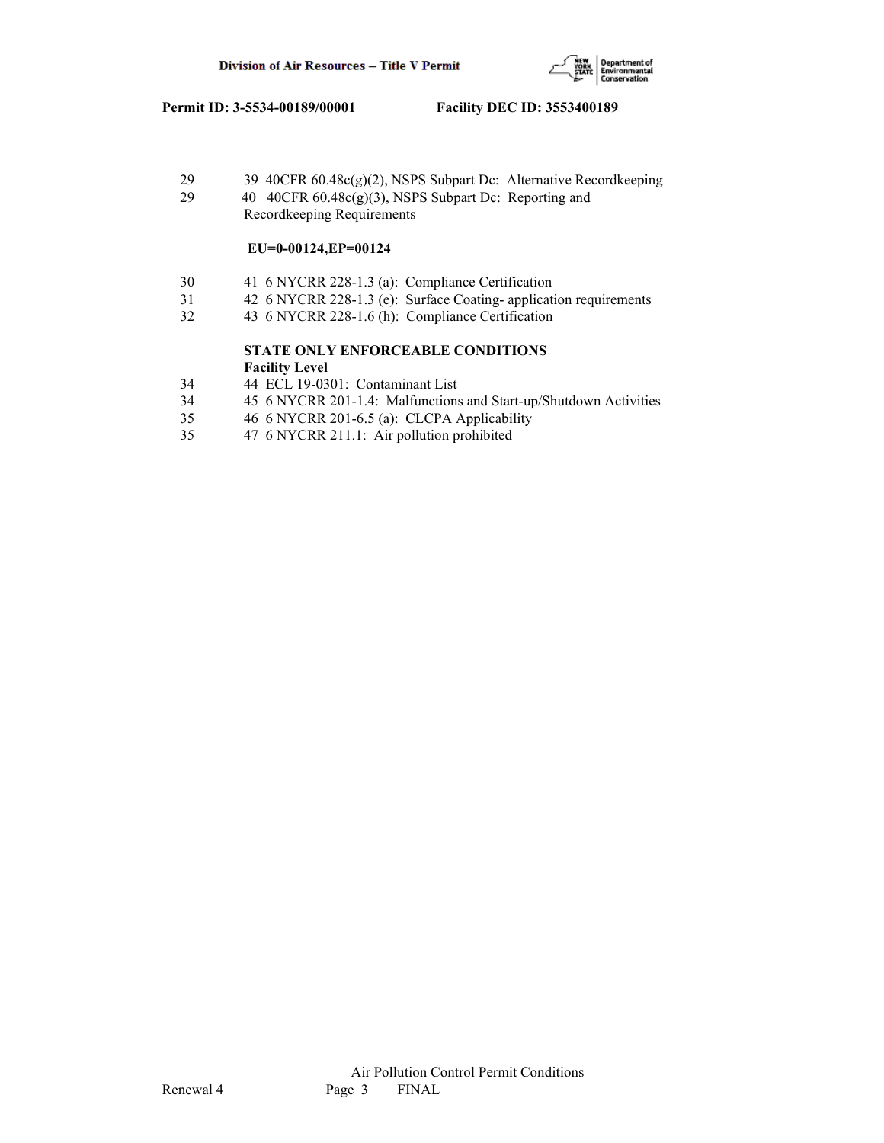

 29 39 40CFR 60.48c(g)(2), NSPS Subpart Dc: Alternative Recordkeeping 29 40 40CFR 60.48c(g)(3), NSPS Subpart Dc: Reporting and Recordkeeping Requirements

## **EU=0-00124,EP=00124**

- 30 41 6 NYCRR 228-1.3 (a): Compliance Certification
- 31 42 6 NYCRR 228-1.3 (e): Surface Coating- application requirements
- 32 43 6 NYCRR 228-1.6 (h): Compliance Certification

## **STATE ONLY ENFORCEABLE CONDITIONS Facility Level**

- 34 44 ECL 19-0301: Contaminant List
- 34 45 6 NYCRR 201-1.4: Malfunctions and Start-up/Shutdown Activities
- 35 46 6 NYCRR 201-6.5 (a): CLCPA Applicability
- 35 47 6 NYCRR 211.1: Air pollution prohibited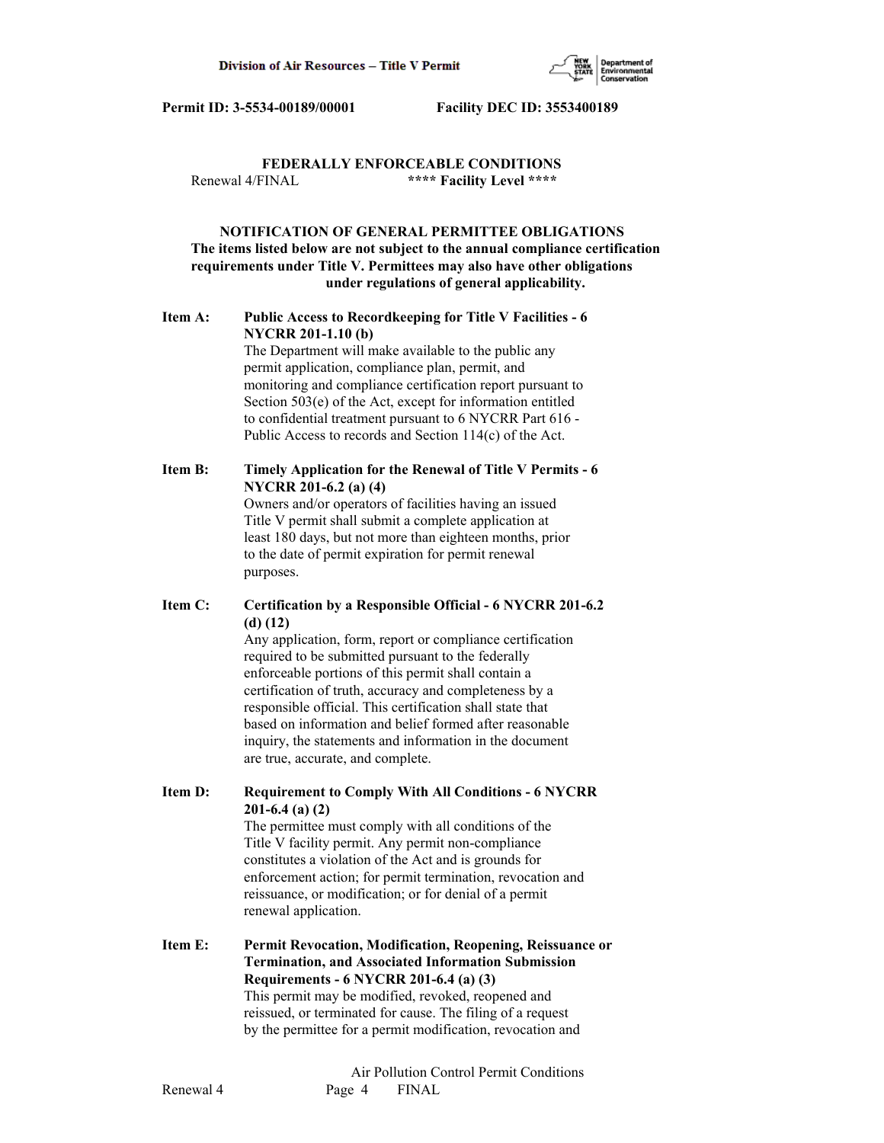

# **FEDERALLY ENFORCEABLE CONDITIONS** Renewal 4/FINAL **\*\*\*\* Facility Level \*\*\*\***

# **NOTIFICATION OF GENERAL PERMITTEE OBLIGATIONS The items listed below are not subject to the annual compliance certification requirements under Title V. Permittees may also have other obligations under regulations of general applicability.**

# **Item A: Public Access to Recordkeeping for Title V Facilities - 6 NYCRR 201-1.10 (b)**

 The Department will make available to the public any permit application, compliance plan, permit, and monitoring and compliance certification report pursuant to Section 503(e) of the Act, except for information entitled to confidential treatment pursuant to 6 NYCRR Part 616 - Public Access to records and Section 114(c) of the Act.

# **Item B: Timely Application for the Renewal of Title V Permits - 6 NYCRR 201-6.2 (a) (4)**

 Owners and/or operators of facilities having an issued Title V permit shall submit a complete application at least 180 days, but not more than eighteen months, prior to the date of permit expiration for permit renewal purposes.

# **Item C: Certification by a Responsible Official - 6 NYCRR 201-6.2 (d) (12)**

 Any application, form, report or compliance certification required to be submitted pursuant to the federally enforceable portions of this permit shall contain a certification of truth, accuracy and completeness by a responsible official. This certification shall state that based on information and belief formed after reasonable inquiry, the statements and information in the document are true, accurate, and complete.

**Item D: Requirement to Comply With All Conditions - 6 NYCRR 201-6.4 (a) (2)**

 The permittee must comply with all conditions of the Title V facility permit. Any permit non-compliance constitutes a violation of the Act and is grounds for enforcement action; for permit termination, revocation and reissuance, or modification; or for denial of a permit renewal application.

**Item E: Permit Revocation, Modification, Reopening, Reissuance or Termination, and Associated Information Submission Requirements - 6 NYCRR 201-6.4 (a) (3)** This permit may be modified, revoked, reopened and reissued, or terminated for cause. The filing of a request by the permittee for a permit modification, revocation and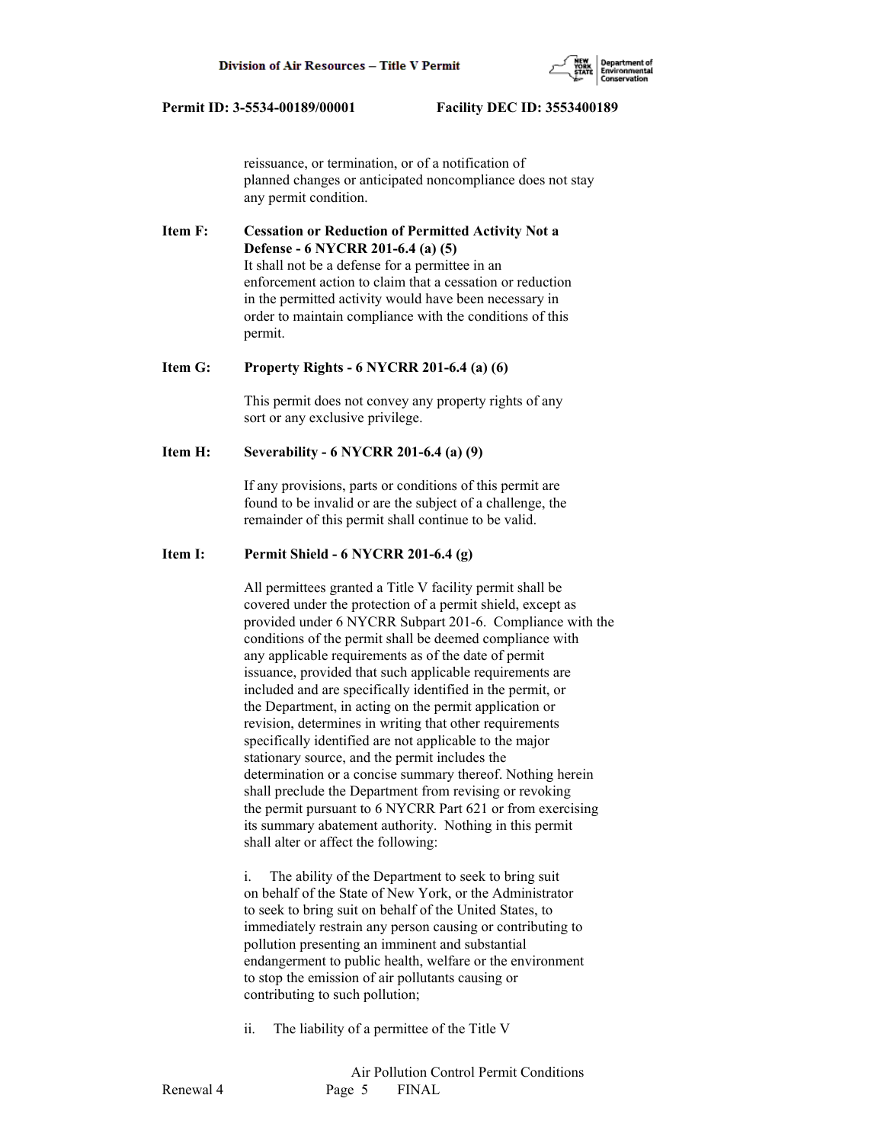

 reissuance, or termination, or of a notification of planned changes or anticipated noncompliance does not stay any permit condition.

**Item F: Cessation or Reduction of Permitted Activity Not a Defense - 6 NYCRR 201-6.4 (a) (5)** It shall not be a defense for a permittee in an enforcement action to claim that a cessation or reduction in the permitted activity would have been necessary in order to maintain compliance with the conditions of this permit.

#### **Item G: Property Rights - 6 NYCRR 201-6.4 (a) (6)**

 This permit does not convey any property rights of any sort or any exclusive privilege.

### **Item H: Severability - 6 NYCRR 201-6.4 (a) (9)**

 If any provisions, parts or conditions of this permit are found to be invalid or are the subject of a challenge, the remainder of this permit shall continue to be valid.

# **Item I: Permit Shield - 6 NYCRR 201-6.4 (g)**

 All permittees granted a Title V facility permit shall be covered under the protection of a permit shield, except as provided under 6 NYCRR Subpart 201-6. Compliance with the conditions of the permit shall be deemed compliance with any applicable requirements as of the date of permit issuance, provided that such applicable requirements are included and are specifically identified in the permit, or the Department, in acting on the permit application or revision, determines in writing that other requirements specifically identified are not applicable to the major stationary source, and the permit includes the determination or a concise summary thereof. Nothing herein shall preclude the Department from revising or revoking the permit pursuant to 6 NYCRR Part 621 or from exercising its summary abatement authority. Nothing in this permit shall alter or affect the following:

 i. The ability of the Department to seek to bring suit on behalf of the State of New York, or the Administrator to seek to bring suit on behalf of the United States, to immediately restrain any person causing or contributing to pollution presenting an imminent and substantial endangerment to public health, welfare or the environment to stop the emission of air pollutants causing or contributing to such pollution;

ii. The liability of a permittee of the Title V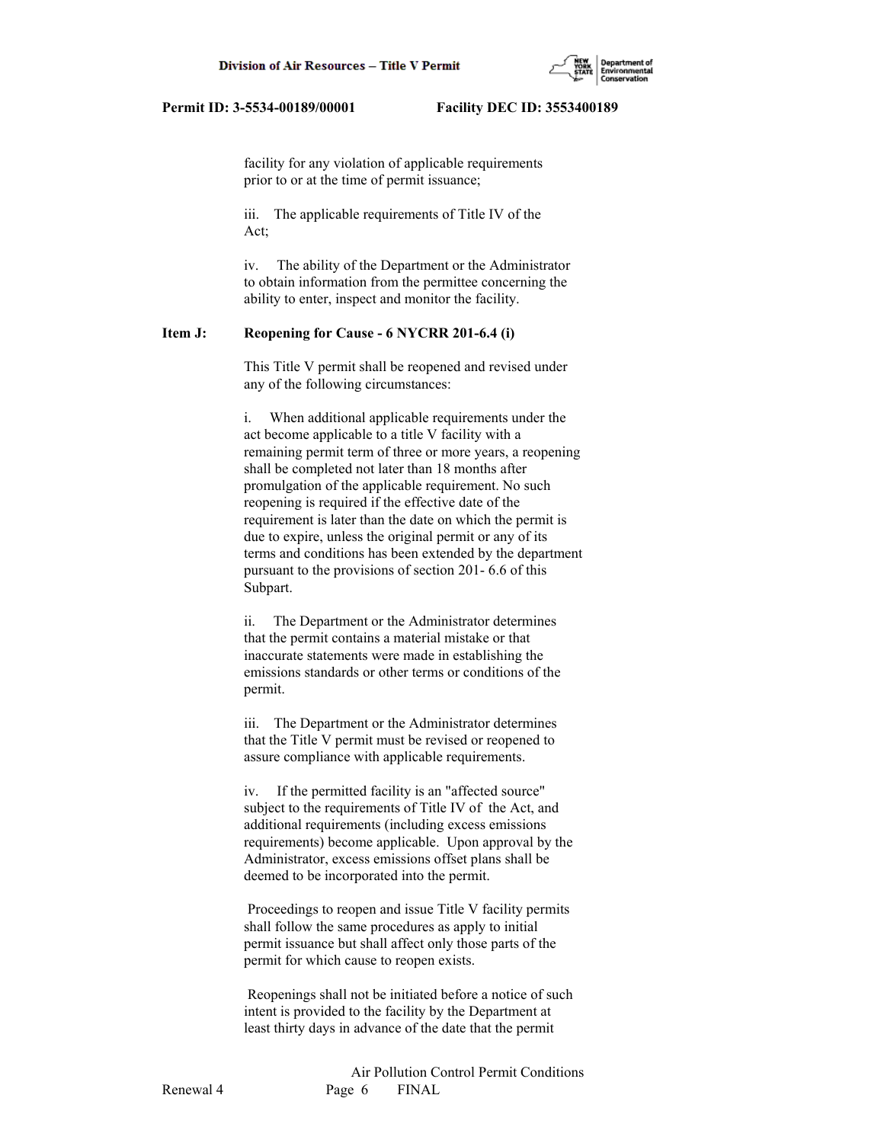

 facility for any violation of applicable requirements prior to or at the time of permit issuance;

 iii. The applicable requirements of Title IV of the Act;

 iv. The ability of the Department or the Administrator to obtain information from the permittee concerning the ability to enter, inspect and monitor the facility.

## **Item J: Reopening for Cause - 6 NYCRR 201-6.4 (i)**

 This Title V permit shall be reopened and revised under any of the following circumstances:

 i. When additional applicable requirements under the act become applicable to a title V facility with a remaining permit term of three or more years, a reopening shall be completed not later than 18 months after promulgation of the applicable requirement. No such reopening is required if the effective date of the requirement is later than the date on which the permit is due to expire, unless the original permit or any of its terms and conditions has been extended by the department pursuant to the provisions of section 201- 6.6 of this Subpart.

 ii. The Department or the Administrator determines that the permit contains a material mistake or that inaccurate statements were made in establishing the emissions standards or other terms or conditions of the permit.

 iii. The Department or the Administrator determines that the Title V permit must be revised or reopened to assure compliance with applicable requirements.

 iv. If the permitted facility is an "affected source" subject to the requirements of Title IV of the Act, and additional requirements (including excess emissions requirements) become applicable. Upon approval by the Administrator, excess emissions offset plans shall be deemed to be incorporated into the permit.

 Proceedings to reopen and issue Title V facility permits shall follow the same procedures as apply to initial permit issuance but shall affect only those parts of the permit for which cause to reopen exists.

 Reopenings shall not be initiated before a notice of such intent is provided to the facility by the Department at least thirty days in advance of the date that the permit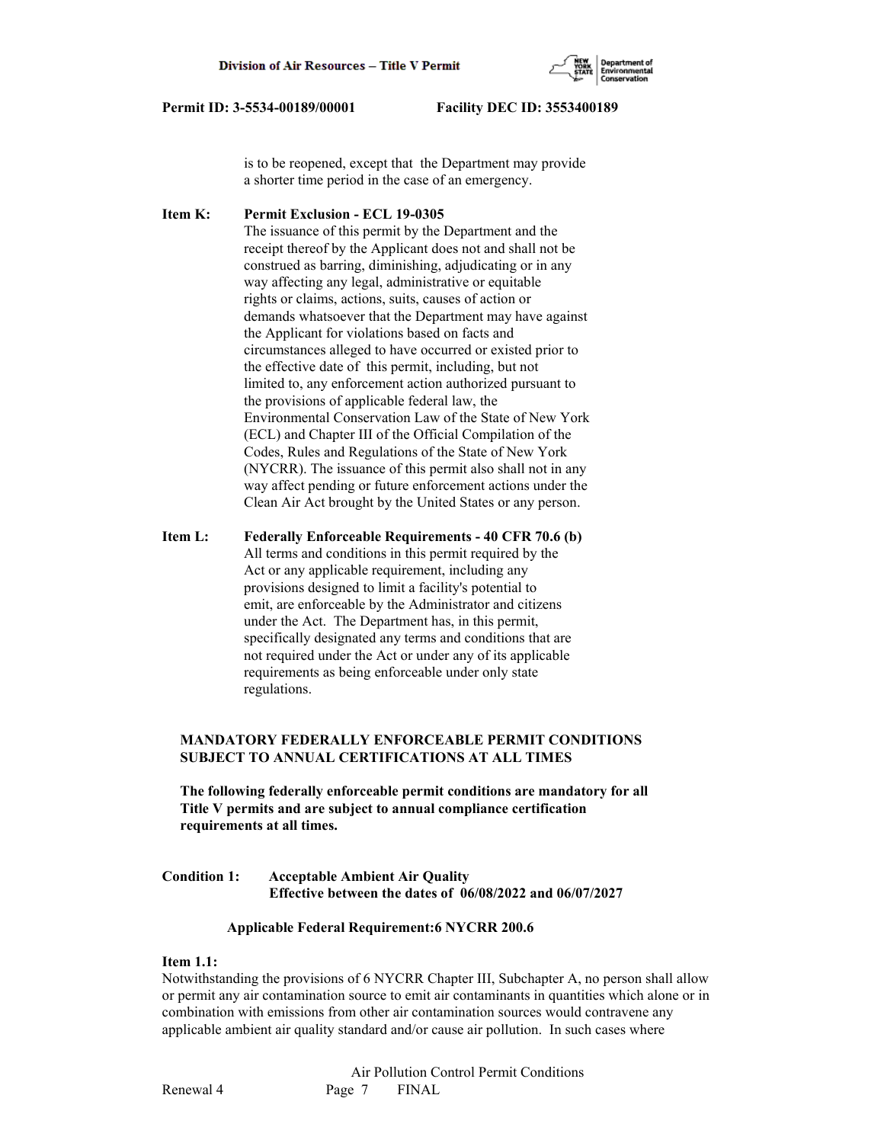

 is to be reopened, except that the Department may provide a shorter time period in the case of an emergency.

**Item K: Permit Exclusion - ECL 19-0305** The issuance of this permit by the Department and the receipt thereof by the Applicant does not and shall not be construed as barring, diminishing, adjudicating or in any way affecting any legal, administrative or equitable rights or claims, actions, suits, causes of action or demands whatsoever that the Department may have against the Applicant for violations based on facts and circumstances alleged to have occurred or existed prior to the effective date of this permit, including, but not limited to, any enforcement action authorized pursuant to the provisions of applicable federal law, the Environmental Conservation Law of the State of New York (ECL) and Chapter III of the Official Compilation of the Codes, Rules and Regulations of the State of New York (NYCRR). The issuance of this permit also shall not in any way affect pending or future enforcement actions under the Clean Air Act brought by the United States or any person.

**Item L: Federally Enforceable Requirements - 40 CFR 70.6 (b)** All terms and conditions in this permit required by the Act or any applicable requirement, including any provisions designed to limit a facility's potential to emit, are enforceable by the Administrator and citizens under the Act. The Department has, in this permit, specifically designated any terms and conditions that are not required under the Act or under any of its applicable requirements as being enforceable under only state regulations.

# **MANDATORY FEDERALLY ENFORCEABLE PERMIT CONDITIONS SUBJECT TO ANNUAL CERTIFICATIONS AT ALL TIMES**

 **The following federally enforceable permit conditions are mandatory for all Title V permits and are subject to annual compliance certification requirements at all times.**

**Condition 1: Acceptable Ambient Air Quality Effective between the dates of 06/08/2022 and 06/07/2027**

#### **Applicable Federal Requirement:6 NYCRR 200.6**

#### **Item 1.1:**

Notwithstanding the provisions of 6 NYCRR Chapter III, Subchapter A, no person shall allow or permit any air contamination source to emit air contaminants in quantities which alone or in combination with emissions from other air contamination sources would contravene any applicable ambient air quality standard and/or cause air pollution. In such cases where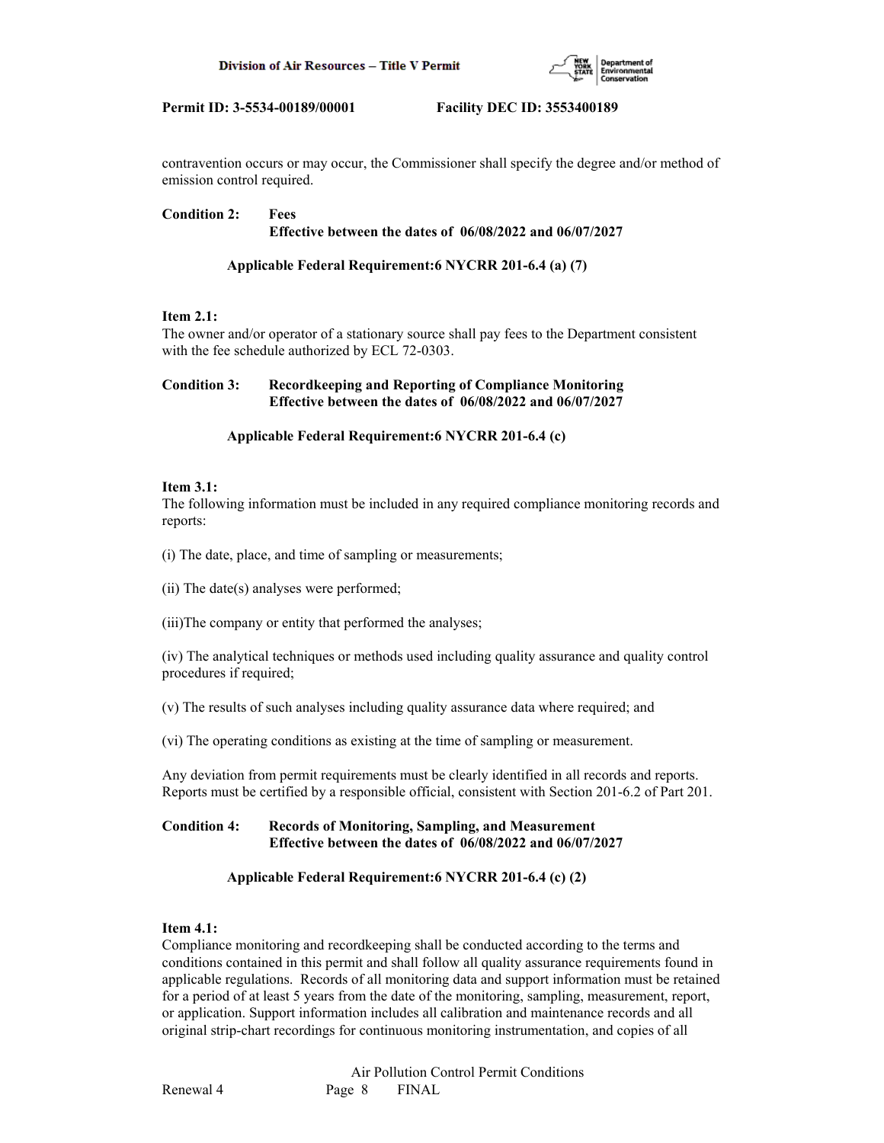

contravention occurs or may occur, the Commissioner shall specify the degree and/or method of emission control required.

## **Condition 2: Fees Effective between the dates of 06/08/2022 and 06/07/2027**

# **Applicable Federal Requirement:6 NYCRR 201-6.4 (a) (7)**

# **Item 2.1:**

The owner and/or operator of a stationary source shall pay fees to the Department consistent with the fee schedule authorized by ECL 72-0303.

# **Condition 3: Recordkeeping and Reporting of Compliance Monitoring Effective between the dates of 06/08/2022 and 06/07/2027**

# **Applicable Federal Requirement:6 NYCRR 201-6.4 (c)**

## **Item 3.1:**

The following information must be included in any required compliance monitoring records and reports:

(i) The date, place, and time of sampling or measurements;

(ii) The date(s) analyses were performed;

(iii)The company or entity that performed the analyses;

(iv) The analytical techniques or methods used including quality assurance and quality control procedures if required;

(v) The results of such analyses including quality assurance data where required; and

(vi) The operating conditions as existing at the time of sampling or measurement.

Any deviation from permit requirements must be clearly identified in all records and reports. Reports must be certified by a responsible official, consistent with Section 201-6.2 of Part 201.

# **Condition 4: Records of Monitoring, Sampling, and Measurement Effective between the dates of 06/08/2022 and 06/07/2027**

# **Applicable Federal Requirement:6 NYCRR 201-6.4 (c) (2)**

# **Item 4.1:**

Compliance monitoring and recordkeeping shall be conducted according to the terms and conditions contained in this permit and shall follow all quality assurance requirements found in applicable regulations. Records of all monitoring data and support information must be retained for a period of at least 5 years from the date of the monitoring, sampling, measurement, report, or application. Support information includes all calibration and maintenance records and all original strip-chart recordings for continuous monitoring instrumentation, and copies of all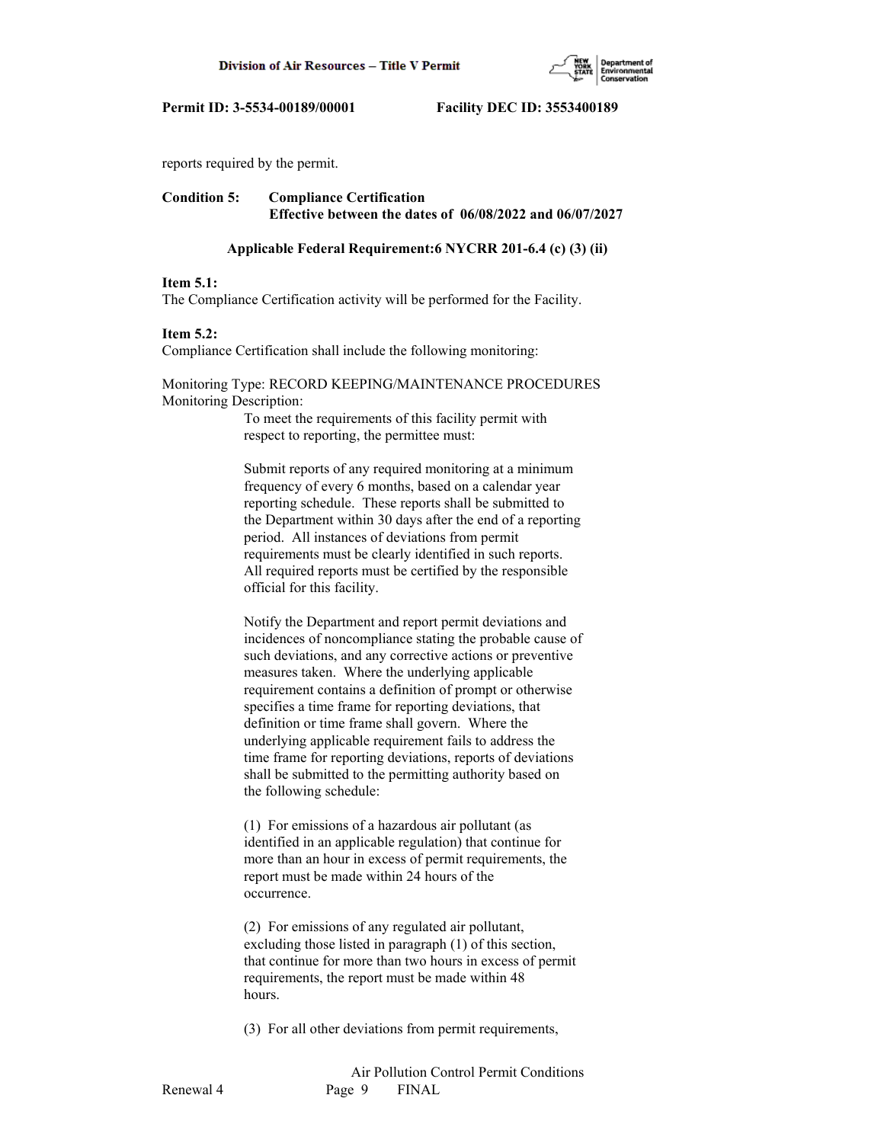

reports required by the permit.

# **Condition 5: Compliance Certification Effective between the dates of 06/08/2022 and 06/07/2027**

#### **Applicable Federal Requirement:6 NYCRR 201-6.4 (c) (3) (ii)**

#### **Item 5.1:**

The Compliance Certification activity will be performed for the Facility.

#### **Item 5.2:**

Compliance Certification shall include the following monitoring:

## Monitoring Type: RECORD KEEPING/MAINTENANCE PROCEDURES Monitoring Description:

 To meet the requirements of this facility permit with respect to reporting, the permittee must:

 Submit reports of any required monitoring at a minimum frequency of every 6 months, based on a calendar year reporting schedule. These reports shall be submitted to the Department within 30 days after the end of a reporting period. All instances of deviations from permit requirements must be clearly identified in such reports. All required reports must be certified by the responsible official for this facility.

 Notify the Department and report permit deviations and incidences of noncompliance stating the probable cause of such deviations, and any corrective actions or preventive measures taken. Where the underlying applicable requirement contains a definition of prompt or otherwise specifies a time frame for reporting deviations, that definition or time frame shall govern. Where the underlying applicable requirement fails to address the time frame for reporting deviations, reports of deviations shall be submitted to the permitting authority based on the following schedule:

 (1) For emissions of a hazardous air pollutant (as identified in an applicable regulation) that continue for more than an hour in excess of permit requirements, the report must be made within 24 hours of the occurrence.

 (2) For emissions of any regulated air pollutant, excluding those listed in paragraph (1) of this section, that continue for more than two hours in excess of permit requirements, the report must be made within 48 hours.

(3) For all other deviations from permit requirements,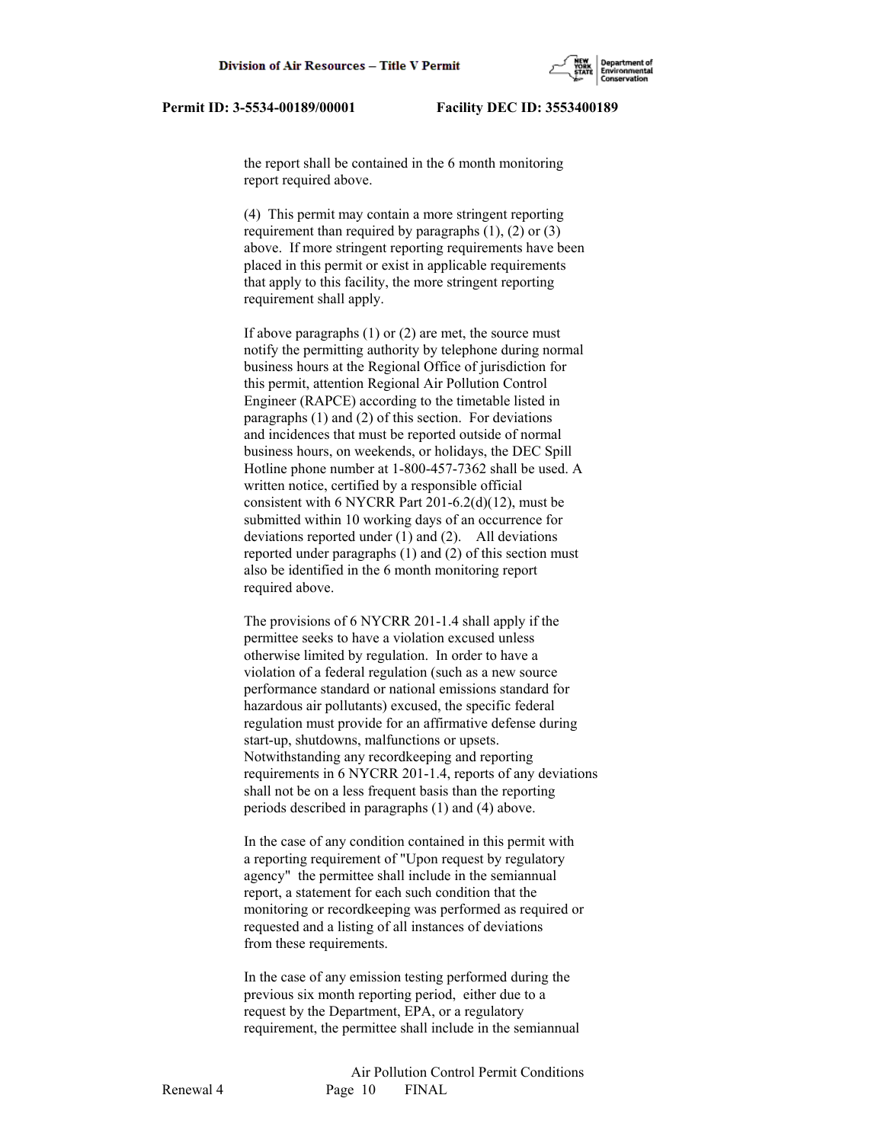the report shall be contained in the 6 month monitoring report required above.

 (4) This permit may contain a more stringent reporting requirement than required by paragraphs  $(1)$ ,  $(2)$  or  $(3)$  above. If more stringent reporting requirements have been placed in this permit or exist in applicable requirements that apply to this facility, the more stringent reporting requirement shall apply.

 If above paragraphs (1) or (2) are met, the source must notify the permitting authority by telephone during normal business hours at the Regional Office of jurisdiction for this permit, attention Regional Air Pollution Control Engineer (RAPCE) according to the timetable listed in paragraphs (1) and (2) of this section. For deviations and incidences that must be reported outside of normal business hours, on weekends, or holidays, the DEC Spill Hotline phone number at 1-800-457-7362 shall be used. A written notice, certified by a responsible official consistent with 6 NYCRR Part 201-6.2(d)(12), must be submitted within 10 working days of an occurrence for deviations reported under (1) and (2). All deviations reported under paragraphs (1) and (2) of this section must also be identified in the 6 month monitoring report required above.

 The provisions of 6 NYCRR 201-1.4 shall apply if the permittee seeks to have a violation excused unless otherwise limited by regulation. In order to have a violation of a federal regulation (such as a new source performance standard or national emissions standard for hazardous air pollutants) excused, the specific federal regulation must provide for an affirmative defense during start-up, shutdowns, malfunctions or upsets. Notwithstanding any recordkeeping and reporting requirements in 6 NYCRR 201-1.4, reports of any deviations shall not be on a less frequent basis than the reporting periods described in paragraphs (1) and (4) above.

 In the case of any condition contained in this permit with a reporting requirement of "Upon request by regulatory agency" the permittee shall include in the semiannual report, a statement for each such condition that the monitoring or recordkeeping was performed as required or requested and a listing of all instances of deviations from these requirements.

 In the case of any emission testing performed during the previous six month reporting period, either due to a request by the Department, EPA, or a regulatory requirement, the permittee shall include in the semiannual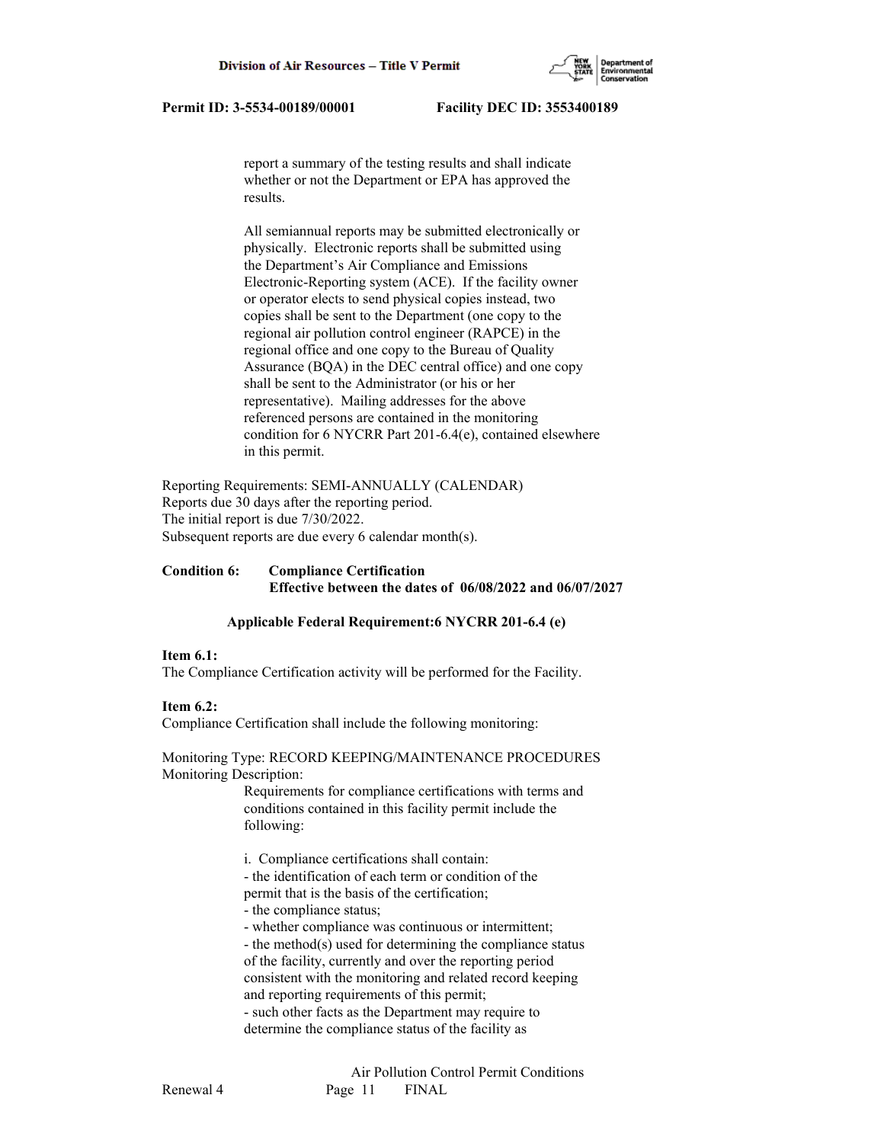report a summary of the testing results and shall indicate whether or not the Department or EPA has approved the results.

 All semiannual reports may be submitted electronically or physically. Electronic reports shall be submitted using the Department's Air Compliance and Emissions Electronic-Reporting system (ACE). If the facility owner or operator elects to send physical copies instead, two copies shall be sent to the Department (one copy to the regional air pollution control engineer (RAPCE) in the regional office and one copy to the Bureau of Quality Assurance (BQA) in the DEC central office) and one copy shall be sent to the Administrator (or his or her representative). Mailing addresses for the above referenced persons are contained in the monitoring condition for 6 NYCRR Part 201-6.4(e), contained elsewhere in this permit.

Reporting Requirements: SEMI-ANNUALLY (CALENDAR) Reports due 30 days after the reporting period. The initial report is due 7/30/2022. Subsequent reports are due every 6 calendar month(s).

## **Condition 6: Compliance Certification Effective between the dates of 06/08/2022 and 06/07/2027**

## **Applicable Federal Requirement:6 NYCRR 201-6.4 (e)**

#### **Item 6.1:**

The Compliance Certification activity will be performed for the Facility.

## **Item 6.2:**

Compliance Certification shall include the following monitoring:

Monitoring Type: RECORD KEEPING/MAINTENANCE PROCEDURES Monitoring Description:

> Requirements for compliance certifications with terms and conditions contained in this facility permit include the following:

i. Compliance certifications shall contain:

 - the identification of each term or condition of the permit that is the basis of the certification;

- the compliance status;

- whether compliance was continuous or intermittent;

 - the method(s) used for determining the compliance status of the facility, currently and over the reporting period consistent with the monitoring and related record keeping and reporting requirements of this permit;

 - such other facts as the Department may require to determine the compliance status of the facility as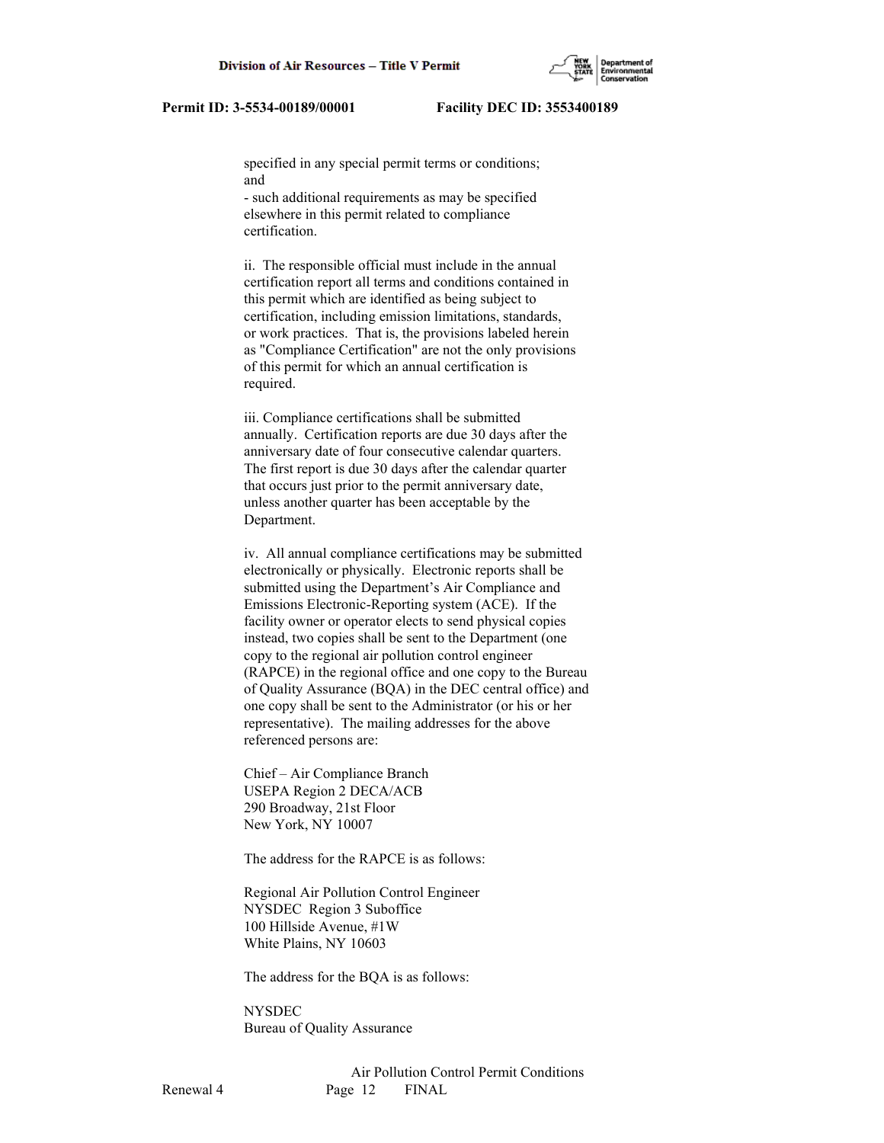specified in any special permit terms or conditions; and

 - such additional requirements as may be specified elsewhere in this permit related to compliance certification.

 ii. The responsible official must include in the annual certification report all terms and conditions contained in this permit which are identified as being subject to certification, including emission limitations, standards, or work practices. That is, the provisions labeled herein as "Compliance Certification" are not the only provisions of this permit for which an annual certification is required.

 iii. Compliance certifications shall be submitted annually. Certification reports are due 30 days after the anniversary date of four consecutive calendar quarters. The first report is due 30 days after the calendar quarter that occurs just prior to the permit anniversary date, unless another quarter has been acceptable by the Department.

 iv. All annual compliance certifications may be submitted electronically or physically. Electronic reports shall be submitted using the Department's Air Compliance and Emissions Electronic-Reporting system (ACE). If the facility owner or operator elects to send physical copies instead, two copies shall be sent to the Department (one copy to the regional air pollution control engineer (RAPCE) in the regional office and one copy to the Bureau of Quality Assurance (BQA) in the DEC central office) and one copy shall be sent to the Administrator (or his or her representative). The mailing addresses for the above referenced persons are:

 Chief – Air Compliance Branch USEPA Region 2 DECA/ACB 290 Broadway, 21st Floor New York, NY 10007

The address for the RAPCE is as follows:

 Regional Air Pollution Control Engineer NYSDEC Region 3 Suboffice 100 Hillside Avenue, #1W White Plains, NY 10603

The address for the BQA is as follows:

**NYSDEC** Bureau of Quality Assurance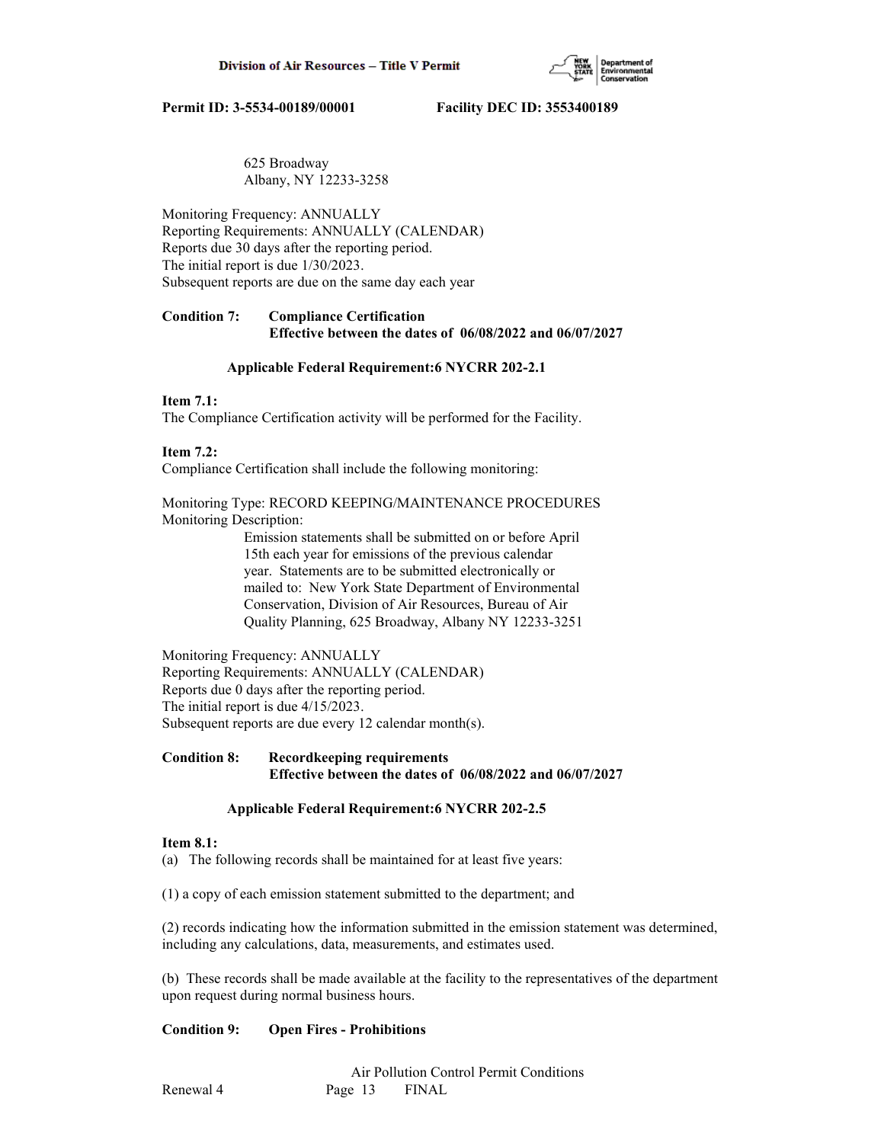

## 625 Broadway Albany, NY 12233-3258

Monitoring Frequency: ANNUALLY Reporting Requirements: ANNUALLY (CALENDAR) Reports due 30 days after the reporting period. The initial report is due 1/30/2023. Subsequent reports are due on the same day each year

# **Condition 7: Compliance Certification Effective between the dates of 06/08/2022 and 06/07/2027**

## **Applicable Federal Requirement:6 NYCRR 202-2.1**

## **Item 7.1:**

The Compliance Certification activity will be performed for the Facility.

## **Item 7.2:**

Compliance Certification shall include the following monitoring:

Monitoring Type: RECORD KEEPING/MAINTENANCE PROCEDURES Monitoring Description:

> Emission statements shall be submitted on or before April 15th each year for emissions of the previous calendar year. Statements are to be submitted electronically or mailed to: New York State Department of Environmental Conservation, Division of Air Resources, Bureau of Air Quality Planning, 625 Broadway, Albany NY 12233-3251

Monitoring Frequency: ANNUALLY Reporting Requirements: ANNUALLY (CALENDAR) Reports due 0 days after the reporting period. The initial report is due 4/15/2023. Subsequent reports are due every 12 calendar month(s).

## **Condition 8: Recordkeeping requirements Effective between the dates of 06/08/2022 and 06/07/2027**

# **Applicable Federal Requirement:6 NYCRR 202-2.5**

## **Item 8.1:**

(a) The following records shall be maintained for at least five years:

(1) a copy of each emission statement submitted to the department; and

(2) records indicating how the information submitted in the emission statement was determined, including any calculations, data, measurements, and estimates used.

(b) These records shall be made available at the facility to the representatives of the department upon request during normal business hours.

# **Condition 9: Open Fires - Prohibitions**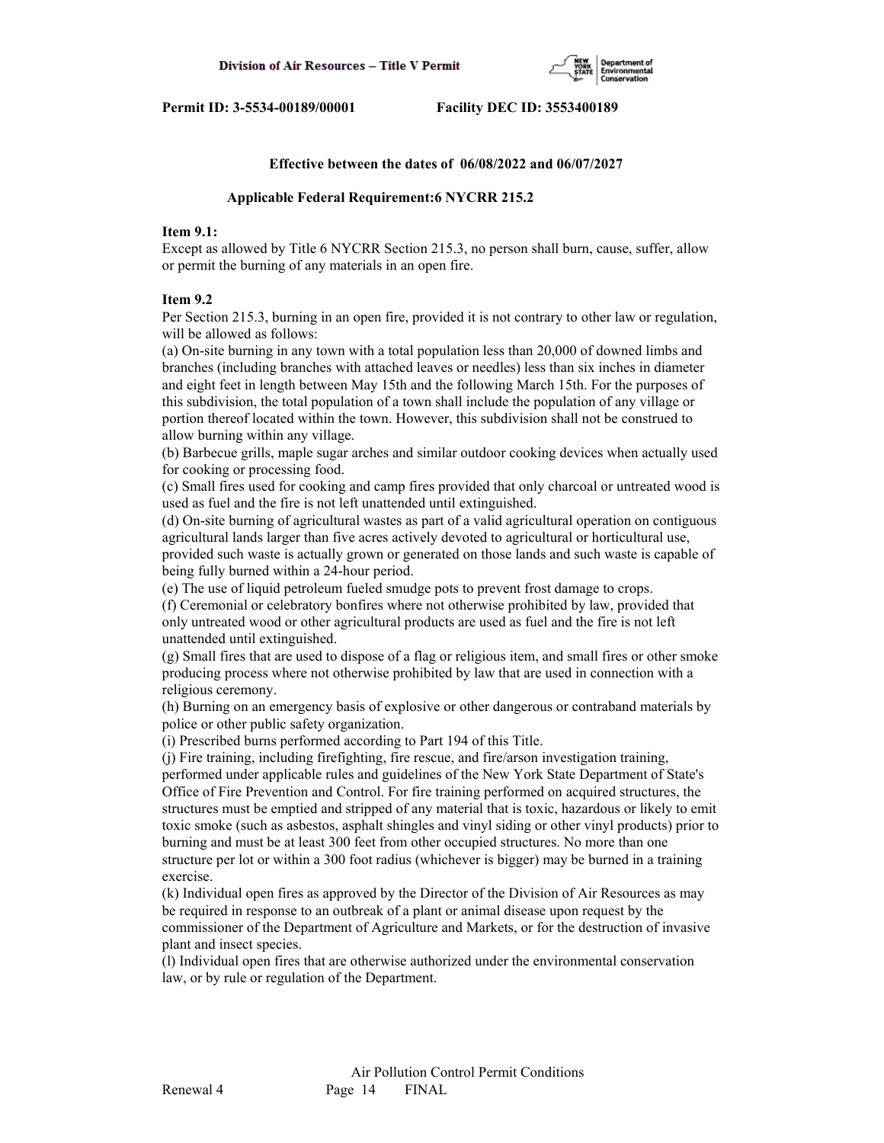

#### **Effective between the dates of 06/08/2022 and 06/07/2027**

#### **Applicable Federal Requirement:6 NYCRR 215.2**

## **Item 9.1:**

Except as allowed by Title 6 NYCRR Section 215.3, no person shall burn, cause, suffer, allow or permit the burning of any materials in an open fire.

#### **Item 9.2**

Per Section 215.3, burning in an open fire, provided it is not contrary to other law or regulation, will be allowed as follows:

(a) On-site burning in any town with a total population less than 20,000 of downed limbs and branches (including branches with attached leaves or needles) less than six inches in diameter and eight feet in length between May 15th and the following March 15th. For the purposes of this subdivision, the total population of a town shall include the population of any village or portion thereof located within the town. However, this subdivision shall not be construed to allow burning within any village.

(b) Barbecue grills, maple sugar arches and similar outdoor cooking devices when actually used for cooking or processing food.

(c) Small fires used for cooking and camp fires provided that only charcoal or untreated wood is used as fuel and the fire is not left unattended until extinguished.

(d) On-site burning of agricultural wastes as part of a valid agricultural operation on contiguous agricultural lands larger than five acres actively devoted to agricultural or horticultural use,

provided such waste is actually grown or generated on those lands and such waste is capable of being fully burned within a 24-hour period.

(e) The use of liquid petroleum fueled smudge pots to prevent frost damage to crops.

(f) Ceremonial or celebratory bonfires where not otherwise prohibited by law, provided that only untreated wood or other agricultural products are used as fuel and the fire is not left unattended until extinguished.

(g) Small fires that are used to dispose of a flag or religious item, and small fires or other smoke producing process where not otherwise prohibited by law that are used in connection with a religious ceremony.

(h) Burning on an emergency basis of explosive or other dangerous or contraband materials by police or other public safety organization.

(i) Prescribed burns performed according to Part 194 of this Title.

(j) Fire training, including firefighting, fire rescue, and fire/arson investigation training, performed under applicable rules and guidelines of the New York State Department of State's Office of Fire Prevention and Control. For fire training performed on acquired structures, the structures must be emptied and stripped of any material that is toxic, hazardous or likely to emit toxic smoke (such as asbestos, asphalt shingles and vinyl siding or other vinyl products) prior to burning and must be at least 300 feet from other occupied structures. No more than one structure per lot or within a 300 foot radius (whichever is bigger) may be burned in a training exercise.

(k) Individual open fires as approved by the Director of the Division of Air Resources as may be required in response to an outbreak of a plant or animal disease upon request by the commissioner of the Department of Agriculture and Markets, or for the destruction of invasive plant and insect species.

(l) Individual open fires that are otherwise authorized under the environmental conservation law, or by rule or regulation of the Department.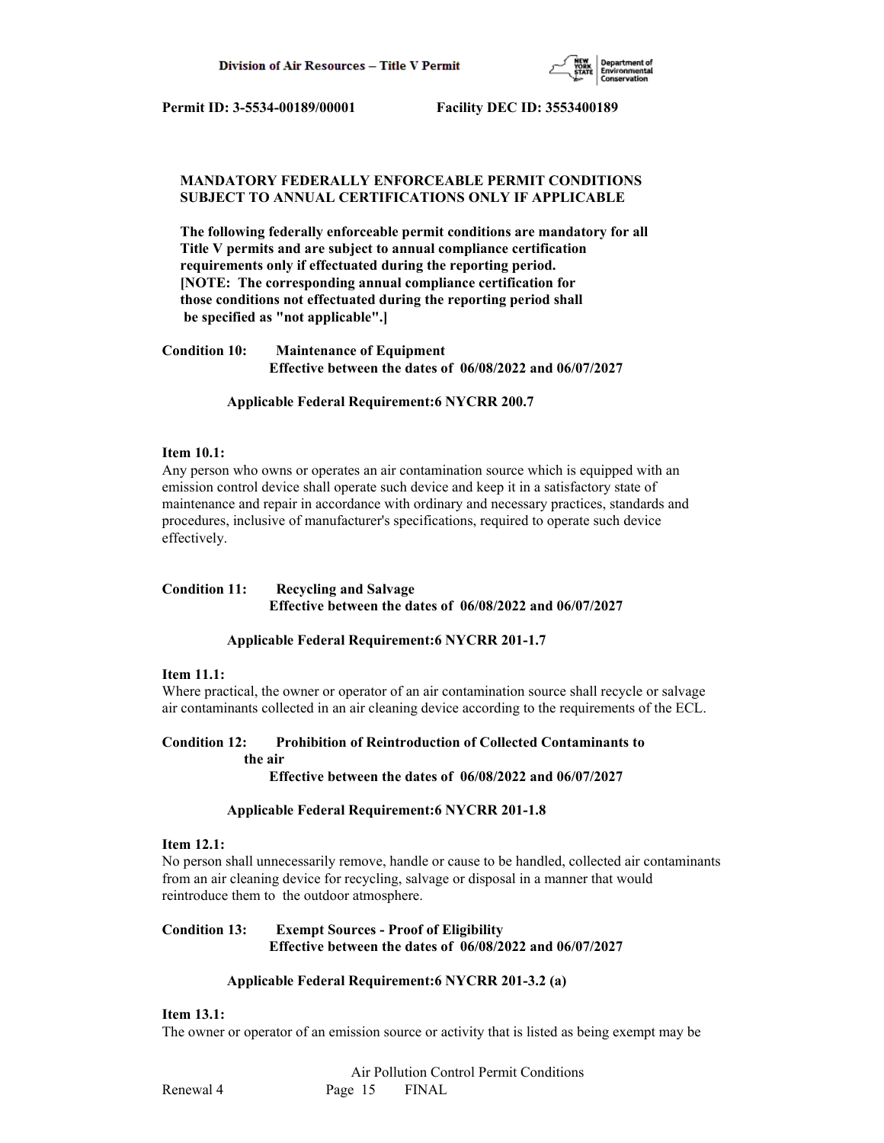

# **MANDATORY FEDERALLY ENFORCEABLE PERMIT CONDITIONS SUBJECT TO ANNUAL CERTIFICATIONS ONLY IF APPLICABLE**

 **The following federally enforceable permit conditions are mandatory for all Title V permits and are subject to annual compliance certification requirements only if effectuated during the reporting period. [NOTE: The corresponding annual compliance certification for those conditions not effectuated during the reporting period shall be specified as "not applicable".]**

**Condition 10: Maintenance of Equipment Effective between the dates of 06/08/2022 and 06/07/2027**

 **Applicable Federal Requirement:6 NYCRR 200.7**

## **Item 10.1:**

Any person who owns or operates an air contamination source which is equipped with an emission control device shall operate such device and keep it in a satisfactory state of maintenance and repair in accordance with ordinary and necessary practices, standards and procedures, inclusive of manufacturer's specifications, required to operate such device effectively.

## **Condition 11: Recycling and Salvage Effective between the dates of 06/08/2022 and 06/07/2027**

## **Applicable Federal Requirement:6 NYCRR 201-1.7**

## **Item 11.1:**

Where practical, the owner or operator of an air contamination source shall recycle or salvage air contaminants collected in an air cleaning device according to the requirements of the ECL.

# **Condition 12: Prohibition of Reintroduction of Collected Contaminants to the air**

 **Effective between the dates of 06/08/2022 and 06/07/2027**

#### **Applicable Federal Requirement:6 NYCRR 201-1.8**

#### **Item 12.1:**

No person shall unnecessarily remove, handle or cause to be handled, collected air contaminants from an air cleaning device for recycling, salvage or disposal in a manner that would reintroduce them to the outdoor atmosphere.

# **Condition 13: Exempt Sources - Proof of Eligibility Effective between the dates of 06/08/2022 and 06/07/2027**

## **Applicable Federal Requirement:6 NYCRR 201-3.2 (a)**

# **Item 13.1:**

The owner or operator of an emission source or activity that is listed as being exempt may be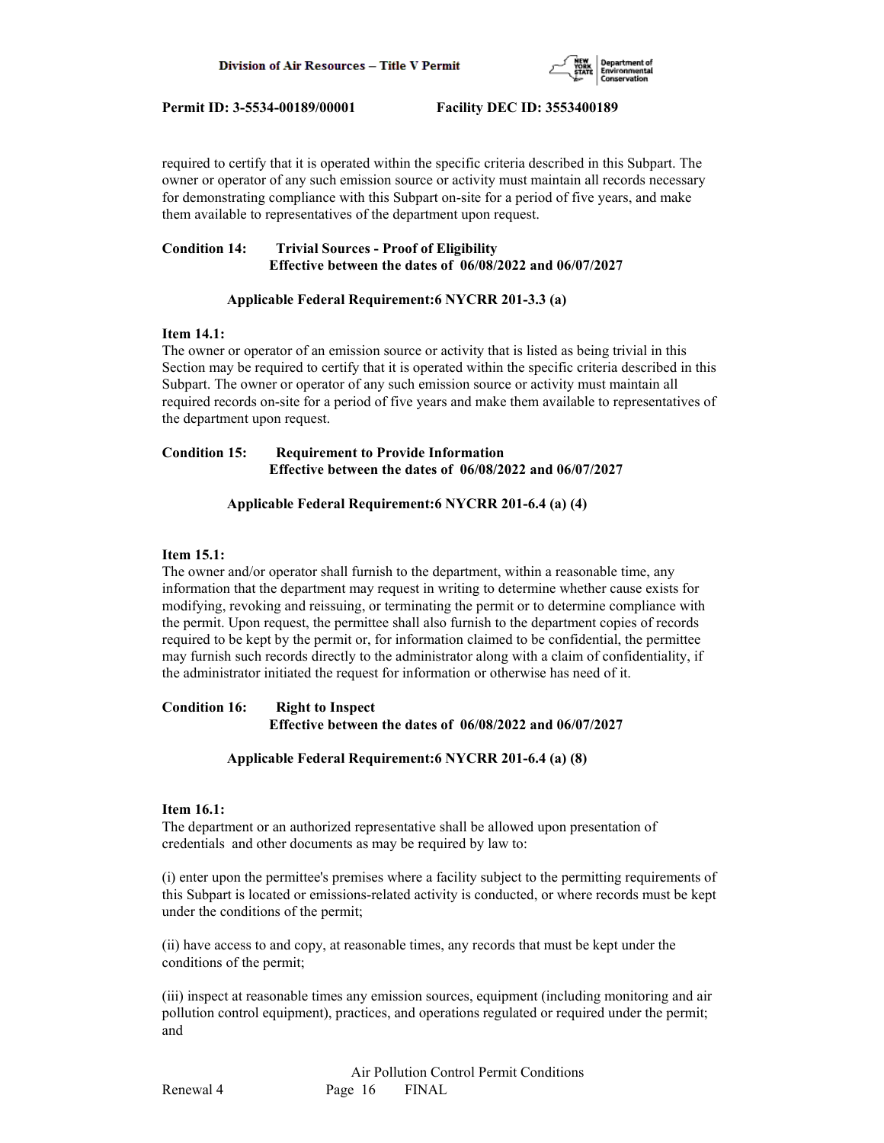

required to certify that it is operated within the specific criteria described in this Subpart. The owner or operator of any such emission source or activity must maintain all records necessary for demonstrating compliance with this Subpart on-site for a period of five years, and make them available to representatives of the department upon request.

# **Condition 14: Trivial Sources - Proof of Eligibility Effective between the dates of 06/08/2022 and 06/07/2027**

# **Applicable Federal Requirement:6 NYCRR 201-3.3 (a)**

## **Item 14.1:**

The owner or operator of an emission source or activity that is listed as being trivial in this Section may be required to certify that it is operated within the specific criteria described in this Subpart. The owner or operator of any such emission source or activity must maintain all required records on-site for a period of five years and make them available to representatives of the department upon request.

## **Condition 15: Requirement to Provide Information Effective between the dates of 06/08/2022 and 06/07/2027**

# **Applicable Federal Requirement:6 NYCRR 201-6.4 (a) (4)**

# **Item 15.1:**

The owner and/or operator shall furnish to the department, within a reasonable time, any information that the department may request in writing to determine whether cause exists for modifying, revoking and reissuing, or terminating the permit or to determine compliance with the permit. Upon request, the permittee shall also furnish to the department copies of records required to be kept by the permit or, for information claimed to be confidential, the permittee may furnish such records directly to the administrator along with a claim of confidentiality, if the administrator initiated the request for information or otherwise has need of it.

# **Condition 16: Right to Inspect Effective between the dates of 06/08/2022 and 06/07/2027**

# **Applicable Federal Requirement:6 NYCRR 201-6.4 (a) (8)**

# **Item 16.1:**

The department or an authorized representative shall be allowed upon presentation of credentials and other documents as may be required by law to:

(i) enter upon the permittee's premises where a facility subject to the permitting requirements of this Subpart is located or emissions-related activity is conducted, or where records must be kept under the conditions of the permit;

(ii) have access to and copy, at reasonable times, any records that must be kept under the conditions of the permit;

(iii) inspect at reasonable times any emission sources, equipment (including monitoring and air pollution control equipment), practices, and operations regulated or required under the permit; and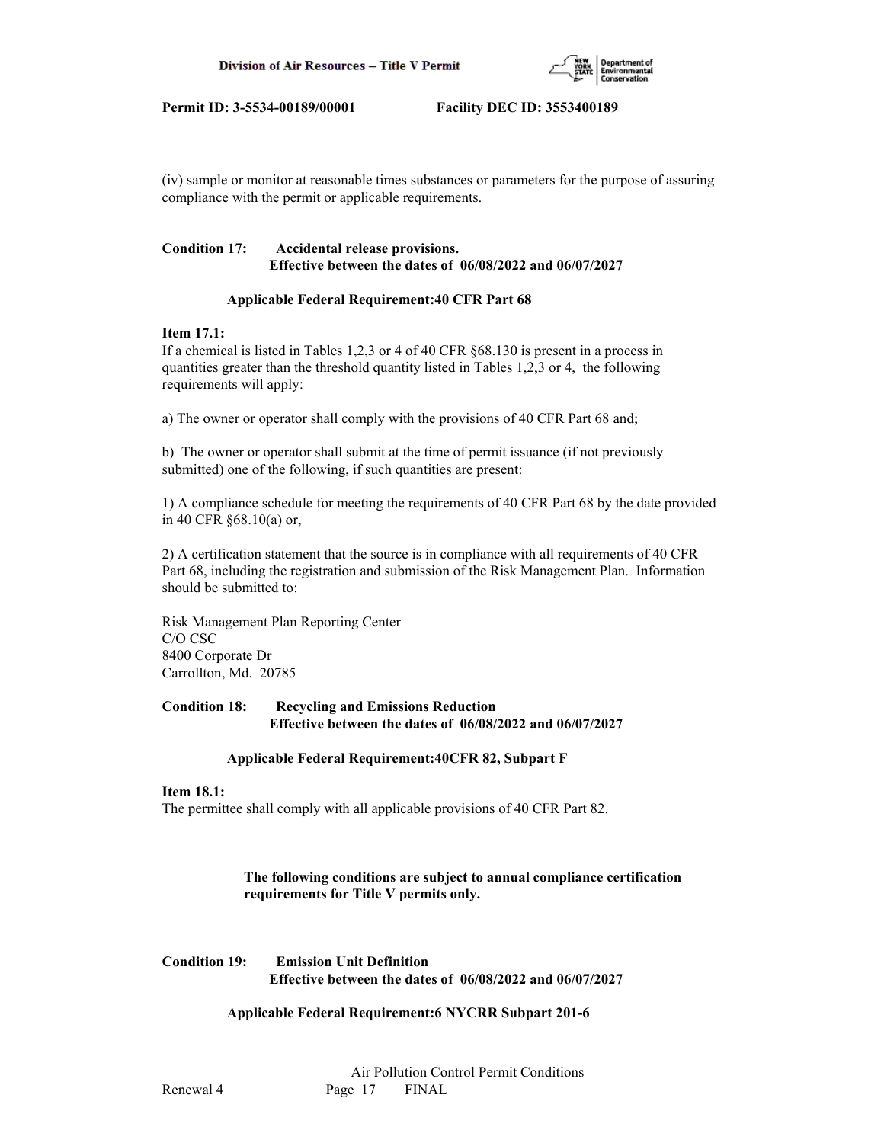

(iv) sample or monitor at reasonable times substances or parameters for the purpose of assuring compliance with the permit or applicable requirements.

# **Condition 17: Accidental release provisions. Effective between the dates of 06/08/2022 and 06/07/2027**

# **Applicable Federal Requirement:40 CFR Part 68**

## **Item 17.1:**

If a chemical is listed in Tables 1,2,3 or 4 of 40 CFR §68.130 is present in a process in quantities greater than the threshold quantity listed in Tables 1,2,3 or 4, the following requirements will apply:

a) The owner or operator shall comply with the provisions of 40 CFR Part 68 and;

b) The owner or operator shall submit at the time of permit issuance (if not previously submitted) one of the following, if such quantities are present:

1) A compliance schedule for meeting the requirements of 40 CFR Part 68 by the date provided in 40 CFR §68.10(a) or,

2) A certification statement that the source is in compliance with all requirements of 40 CFR Part 68, including the registration and submission of the Risk Management Plan. Information should be submitted to:

Risk Management Plan Reporting Center C/O CSC 8400 Corporate Dr Carrollton, Md. 20785

## **Condition 18: Recycling and Emissions Reduction Effective between the dates of 06/08/2022 and 06/07/2027**

# **Applicable Federal Requirement:40CFR 82, Subpart F**

# **Item 18.1:**

The permittee shall comply with all applicable provisions of 40 CFR Part 82.

# **The following conditions are subject to annual compliance certification requirements for Title V permits only.**

**Condition 19: Emission Unit Definition Effective between the dates of 06/08/2022 and 06/07/2027**

 **Applicable Federal Requirement:6 NYCRR Subpart 201-6**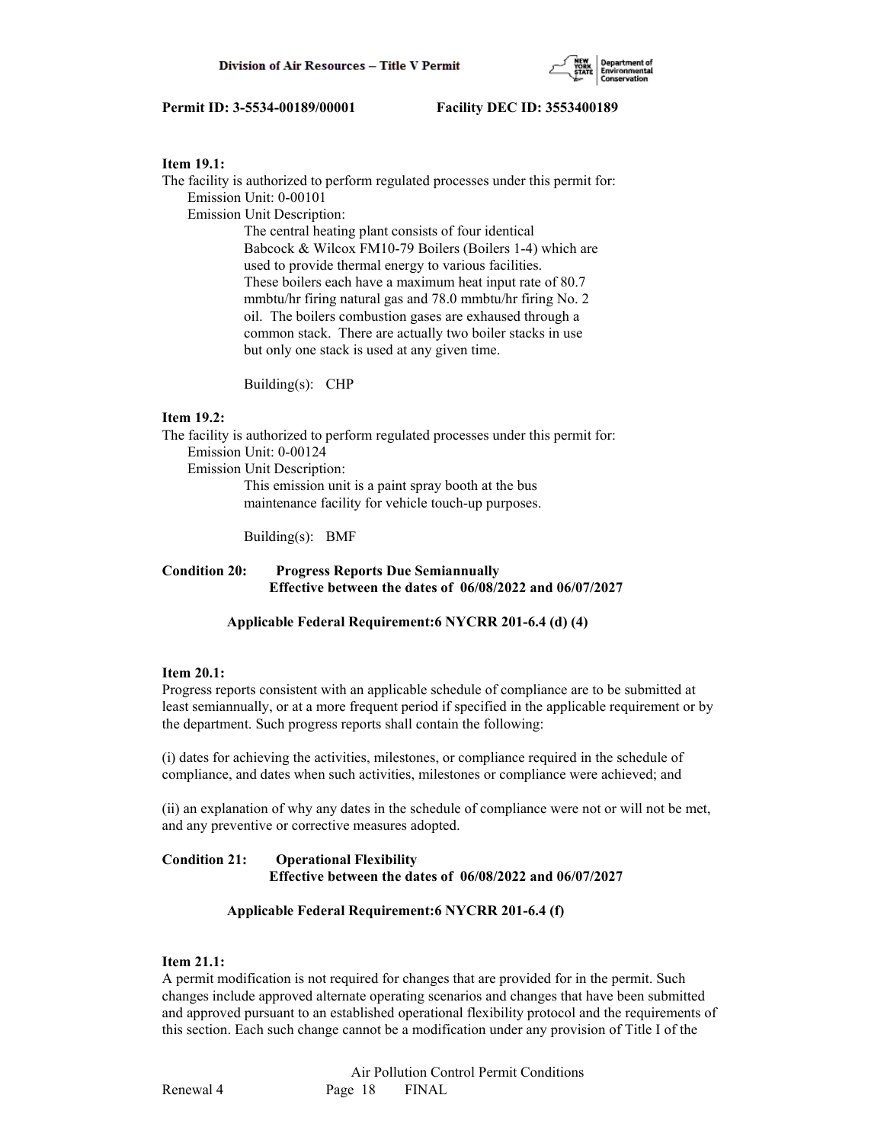

## **Item 19.1:**

The facility is authorized to perform regulated processes under this permit for: Emission Unit: 0-00101 Emission Unit Description: The central heating plant consists of four identical Babcock & Wilcox FM10-79 Boilers (Boilers 1-4) which are used to provide thermal energy to various facilities. These boilers each have a maximum heat input rate of 80.7 mmbtu/hr firing natural gas and 78.0 mmbtu/hr firing No. 2 oil. The boilers combustion gases are exhaused through a common stack. There are actually two boiler stacks in use

Building(s): CHP

## **Item 19.2:**

The facility is authorized to perform regulated processes under this permit for:

but only one stack is used at any given time.

Emission Unit: 0-00124

Emission Unit Description:

 This emission unit is a paint spray booth at the bus maintenance facility for vehicle touch-up purposes.

Building(s): BMF

# **Condition 20: Progress Reports Due Semiannually Effective between the dates of 06/08/2022 and 06/07/2027**

## **Applicable Federal Requirement:6 NYCRR 201-6.4 (d) (4)**

## **Item 20.1:**

Progress reports consistent with an applicable schedule of compliance are to be submitted at least semiannually, or at a more frequent period if specified in the applicable requirement or by the department. Such progress reports shall contain the following:

(i) dates for achieving the activities, milestones, or compliance required in the schedule of compliance, and dates when such activities, milestones or compliance were achieved; and

(ii) an explanation of why any dates in the schedule of compliance were not or will not be met, and any preventive or corrective measures adopted.

## **Condition 21: Operational Flexibility Effective between the dates of 06/08/2022 and 06/07/2027**

## **Applicable Federal Requirement:6 NYCRR 201-6.4 (f)**

# **Item 21.1:**

A permit modification is not required for changes that are provided for in the permit. Such changes include approved alternate operating scenarios and changes that have been submitted and approved pursuant to an established operational flexibility protocol and the requirements of this section. Each such change cannot be a modification under any provision of Title I of the

 Air Pollution Control Permit Conditions Renewal 4 Page 18 FINAL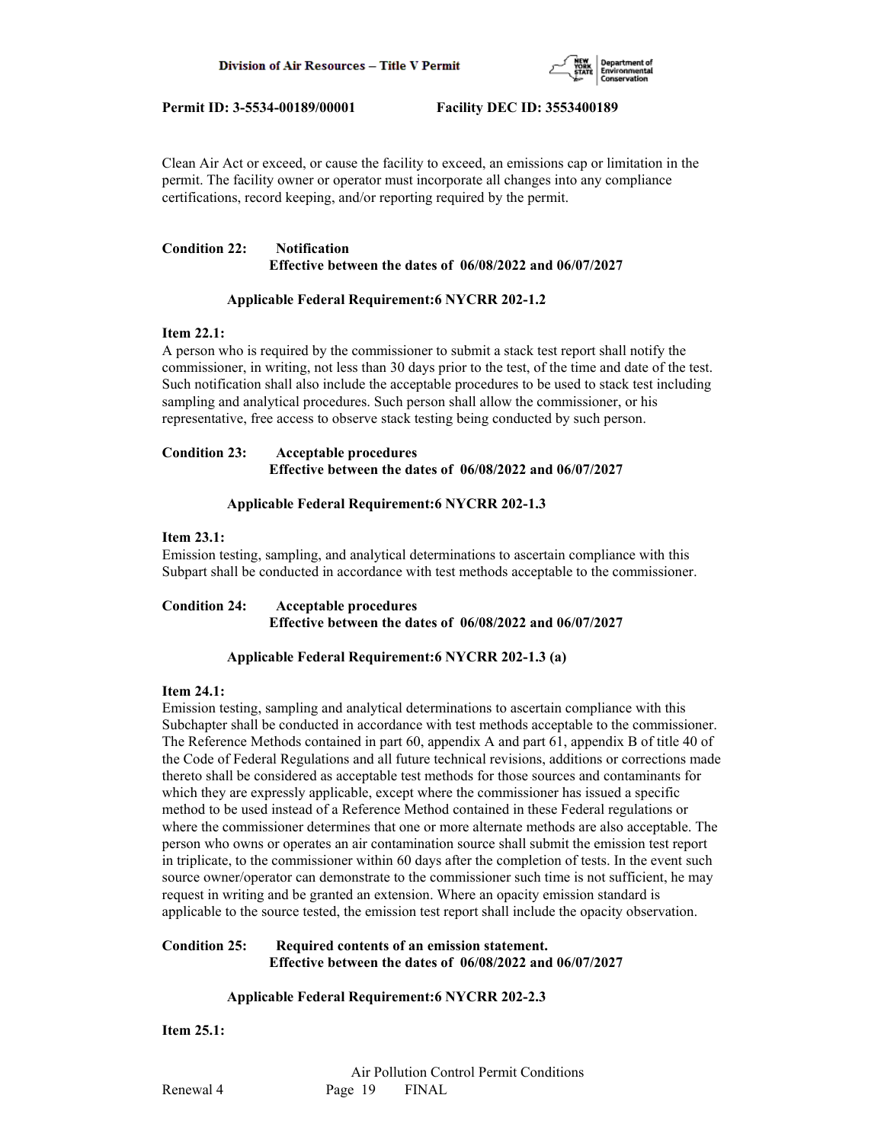

Clean Air Act or exceed, or cause the facility to exceed, an emissions cap or limitation in the permit. The facility owner or operator must incorporate all changes into any compliance certifications, record keeping, and/or reporting required by the permit.

# **Condition 22: Notification Effective between the dates of 06/08/2022 and 06/07/2027**

# **Applicable Federal Requirement:6 NYCRR 202-1.2**

## **Item 22.1:**

A person who is required by the commissioner to submit a stack test report shall notify the commissioner, in writing, not less than 30 days prior to the test, of the time and date of the test. Such notification shall also include the acceptable procedures to be used to stack test including sampling and analytical procedures. Such person shall allow the commissioner, or his representative, free access to observe stack testing being conducted by such person.

# **Condition 23: Acceptable procedures Effective between the dates of 06/08/2022 and 06/07/2027**

# **Applicable Federal Requirement:6 NYCRR 202-1.3**

## **Item 23.1:**

Emission testing, sampling, and analytical determinations to ascertain compliance with this Subpart shall be conducted in accordance with test methods acceptable to the commissioner.

**Condition 24: Acceptable procedures Effective between the dates of 06/08/2022 and 06/07/2027**

# **Applicable Federal Requirement:6 NYCRR 202-1.3 (a)**

# **Item 24.1:**

Emission testing, sampling and analytical determinations to ascertain compliance with this Subchapter shall be conducted in accordance with test methods acceptable to the commissioner. The Reference Methods contained in part 60, appendix A and part 61, appendix B of title 40 of the Code of Federal Regulations and all future technical revisions, additions or corrections made thereto shall be considered as acceptable test methods for those sources and contaminants for which they are expressly applicable, except where the commissioner has issued a specific method to be used instead of a Reference Method contained in these Federal regulations or where the commissioner determines that one or more alternate methods are also acceptable. The person who owns or operates an air contamination source shall submit the emission test report in triplicate, to the commissioner within 60 days after the completion of tests. In the event such source owner/operator can demonstrate to the commissioner such time is not sufficient, he may request in writing and be granted an extension. Where an opacity emission standard is applicable to the source tested, the emission test report shall include the opacity observation.

# **Condition 25: Required contents of an emission statement. Effective between the dates of 06/08/2022 and 06/07/2027**

# **Applicable Federal Requirement:6 NYCRR 202-2.3**

**Item 25.1:**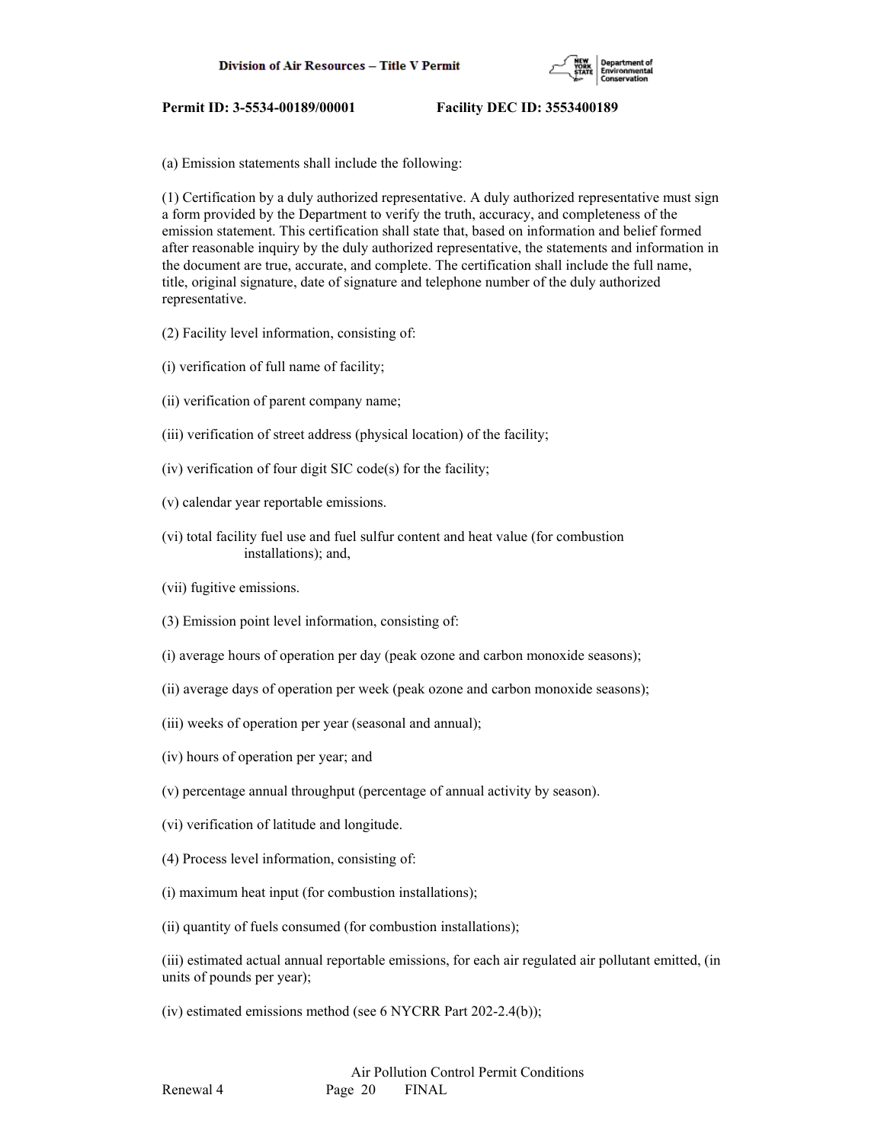

(a) Emission statements shall include the following:

(1) Certification by a duly authorized representative. A duly authorized representative must sign a form provided by the Department to verify the truth, accuracy, and completeness of the emission statement. This certification shall state that, based on information and belief formed after reasonable inquiry by the duly authorized representative, the statements and information in the document are true, accurate, and complete. The certification shall include the full name, title, original signature, date of signature and telephone number of the duly authorized representative.

- (2) Facility level information, consisting of:
- (i) verification of full name of facility;
- (ii) verification of parent company name;
- (iii) verification of street address (physical location) of the facility;
- (iv) verification of four digit SIC code(s) for the facility;
- (v) calendar year reportable emissions.
- (vi) total facility fuel use and fuel sulfur content and heat value (for combustion installations); and,
- (vii) fugitive emissions.
- (3) Emission point level information, consisting of:
- (i) average hours of operation per day (peak ozone and carbon monoxide seasons);
- (ii) average days of operation per week (peak ozone and carbon monoxide seasons);
- (iii) weeks of operation per year (seasonal and annual);
- (iv) hours of operation per year; and
- (v) percentage annual throughput (percentage of annual activity by season).
- (vi) verification of latitude and longitude.
- (4) Process level information, consisting of:
- (i) maximum heat input (for combustion installations);
- (ii) quantity of fuels consumed (for combustion installations);

(iii) estimated actual annual reportable emissions, for each air regulated air pollutant emitted, (in units of pounds per year);

(iv) estimated emissions method (see 6 NYCRR Part 202-2.4(b));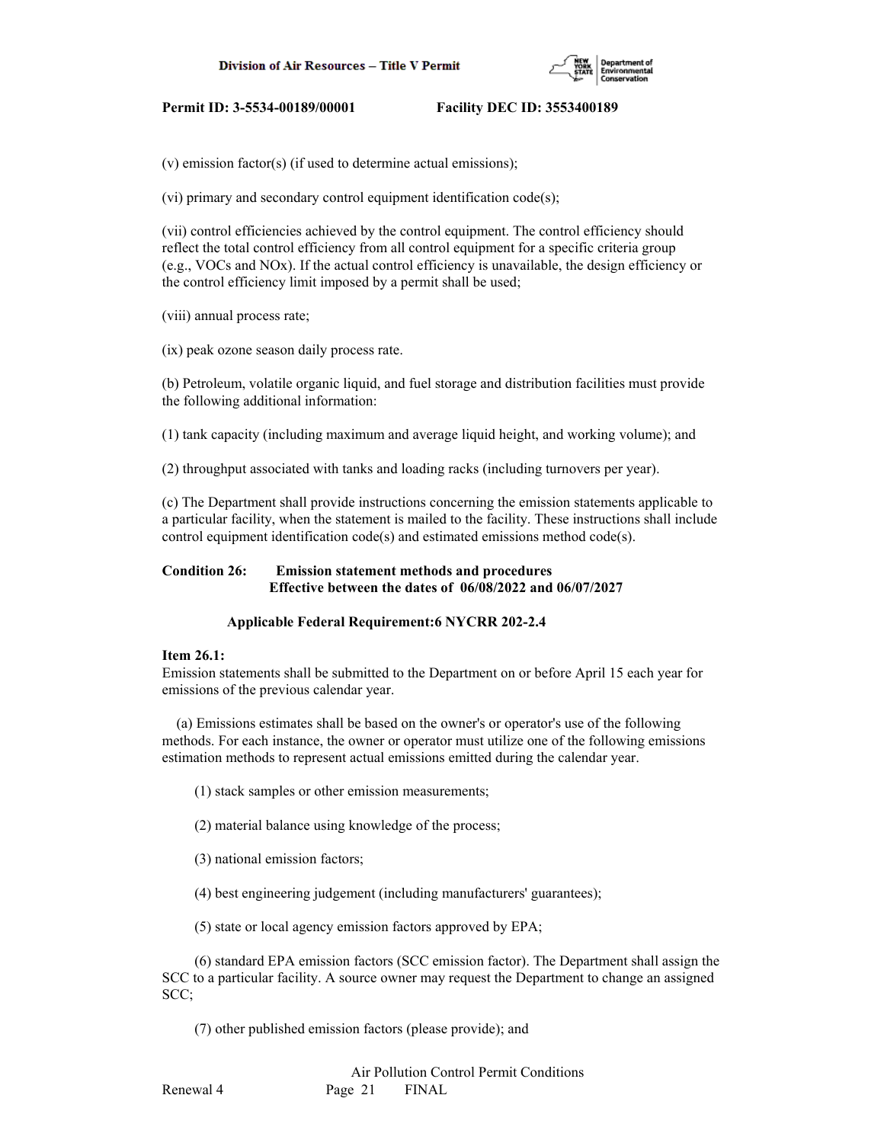

(v) emission factor(s) (if used to determine actual emissions);

(vi) primary and secondary control equipment identification code(s);

(vii) control efficiencies achieved by the control equipment. The control efficiency should reflect the total control efficiency from all control equipment for a specific criteria group (e.g., VOCs and NOx). If the actual control efficiency is unavailable, the design efficiency or the control efficiency limit imposed by a permit shall be used;

(viii) annual process rate;

(ix) peak ozone season daily process rate.

(b) Petroleum, volatile organic liquid, and fuel storage and distribution facilities must provide the following additional information:

(1) tank capacity (including maximum and average liquid height, and working volume); and

(2) throughput associated with tanks and loading racks (including turnovers per year).

(c) The Department shall provide instructions concerning the emission statements applicable to a particular facility, when the statement is mailed to the facility. These instructions shall include control equipment identification code(s) and estimated emissions method code(s).

# **Condition 26: Emission statement methods and procedures Effective between the dates of 06/08/2022 and 06/07/2027**

#### **Applicable Federal Requirement:6 NYCRR 202-2.4**

#### **Item 26.1:**

Emission statements shall be submitted to the Department on or before April 15 each year for emissions of the previous calendar year.

 (a) Emissions estimates shall be based on the owner's or operator's use of the following methods. For each instance, the owner or operator must utilize one of the following emissions estimation methods to represent actual emissions emitted during the calendar year.

- (1) stack samples or other emission measurements;
- (2) material balance using knowledge of the process;
- (3) national emission factors;
- (4) best engineering judgement (including manufacturers' guarantees);
- (5) state or local agency emission factors approved by EPA;

 (6) standard EPA emission factors (SCC emission factor). The Department shall assign the SCC to a particular facility. A source owner may request the Department to change an assigned SCC;

(7) other published emission factors (please provide); and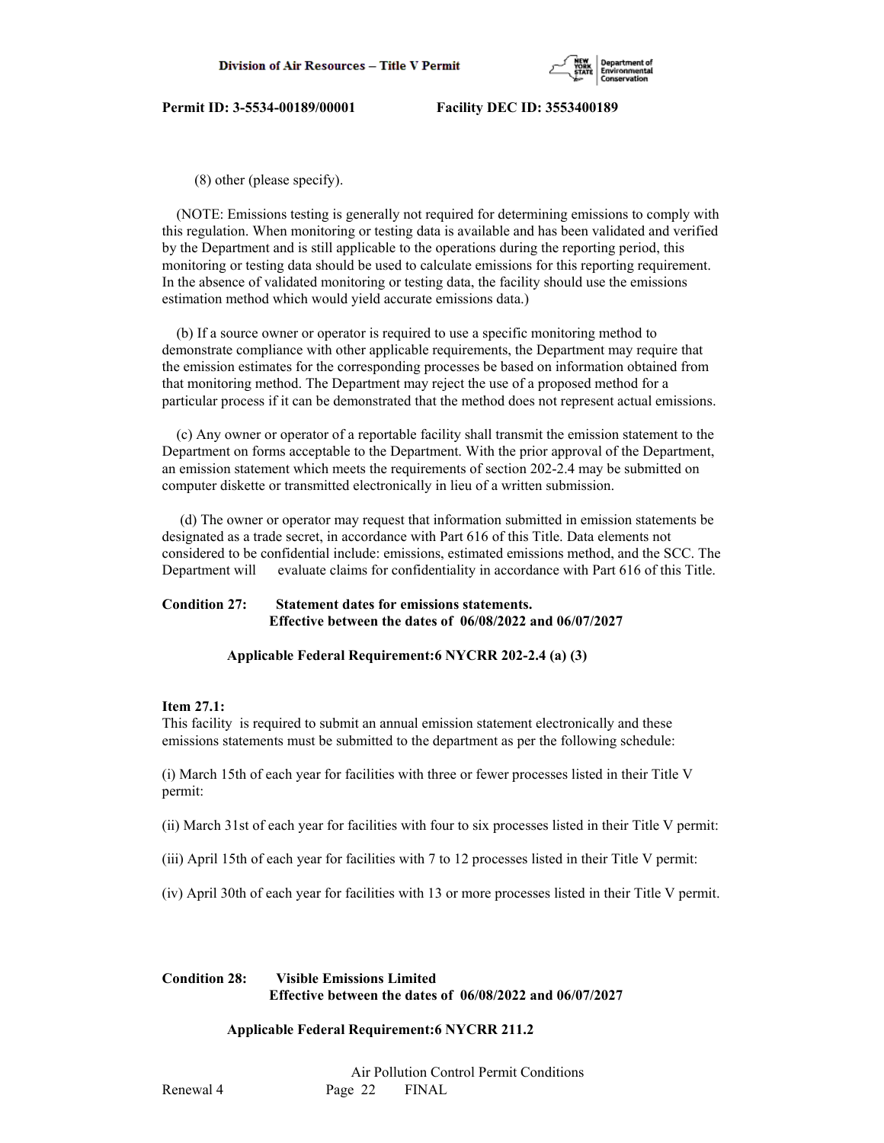

(8) other (please specify).

 (NOTE: Emissions testing is generally not required for determining emissions to comply with this regulation. When monitoring or testing data is available and has been validated and verified by the Department and is still applicable to the operations during the reporting period, this monitoring or testing data should be used to calculate emissions for this reporting requirement. In the absence of validated monitoring or testing data, the facility should use the emissions estimation method which would yield accurate emissions data.)

 (b) If a source owner or operator is required to use a specific monitoring method to demonstrate compliance with other applicable requirements, the Department may require that the emission estimates for the corresponding processes be based on information obtained from that monitoring method. The Department may reject the use of a proposed method for a particular process if it can be demonstrated that the method does not represent actual emissions.

 (c) Any owner or operator of a reportable facility shall transmit the emission statement to the Department on forms acceptable to the Department. With the prior approval of the Department, an emission statement which meets the requirements of section 202-2.4 may be submitted on computer diskette or transmitted electronically in lieu of a written submission.

 (d) The owner or operator may request that information submitted in emission statements be designated as a trade secret, in accordance with Part 616 of this Title. Data elements not considered to be confidential include: emissions, estimated emissions method, and the SCC. The Department will evaluate claims for confidentiality in accordance with Part 616 of this Title.

## **Condition 27: Statement dates for emissions statements. Effective between the dates of 06/08/2022 and 06/07/2027**

## **Applicable Federal Requirement:6 NYCRR 202-2.4 (a) (3)**

## **Item 27.1:**

This facility is required to submit an annual emission statement electronically and these emissions statements must be submitted to the department as per the following schedule:

(i) March 15th of each year for facilities with three or fewer processes listed in their Title V permit:

(ii) March 31st of each year for facilities with four to six processes listed in their Title V permit:

- (iii) April 15th of each year for facilities with 7 to 12 processes listed in their Title V permit:
- (iv) April 30th of each year for facilities with 13 or more processes listed in their Title V permit.

# **Condition 28: Visible Emissions Limited Effective between the dates of 06/08/2022 and 06/07/2027**

## **Applicable Federal Requirement:6 NYCRR 211.2**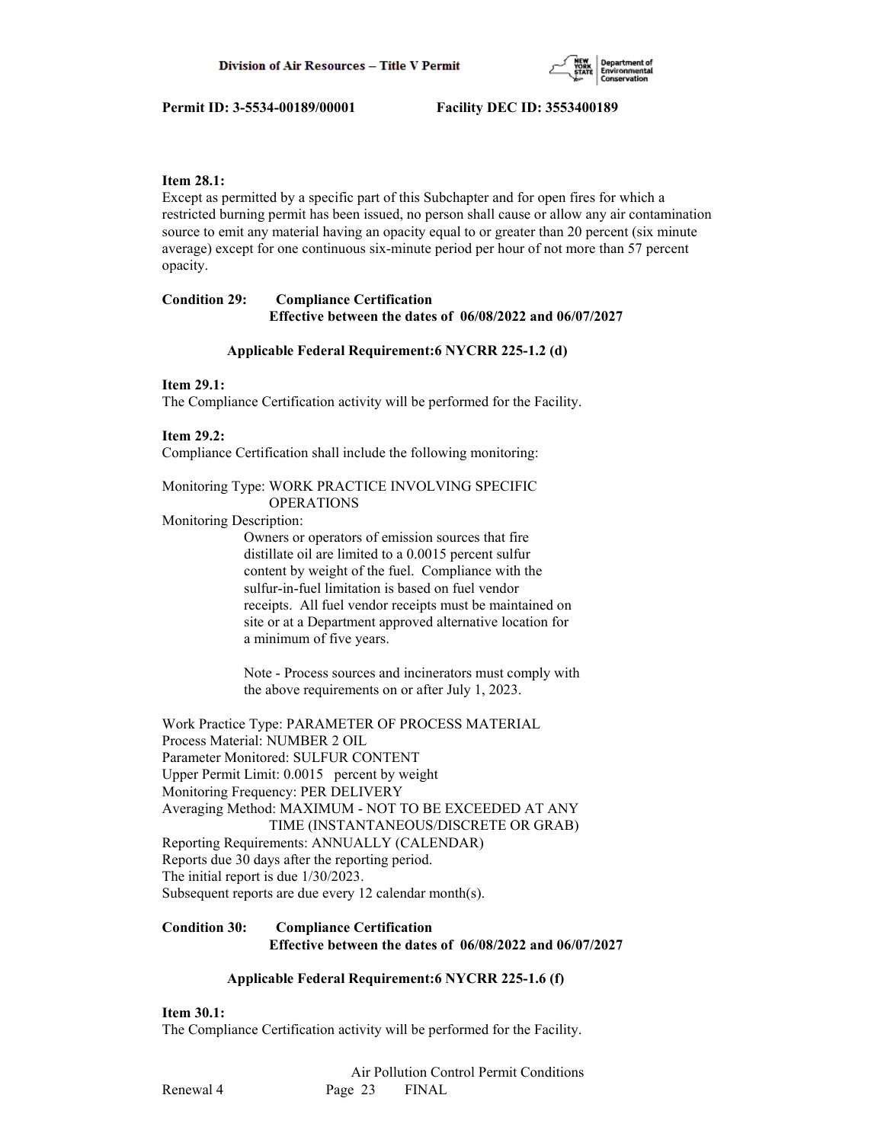

## **Item 28.1:**

Except as permitted by a specific part of this Subchapter and for open fires for which a restricted burning permit has been issued, no person shall cause or allow any air contamination source to emit any material having an opacity equal to or greater than 20 percent (six minute average) except for one continuous six-minute period per hour of not more than 57 percent opacity.

# **Condition 29: Compliance Certification Effective between the dates of 06/08/2022 and 06/07/2027**

## **Applicable Federal Requirement:6 NYCRR 225-1.2 (d)**

## **Item 29.1:**

The Compliance Certification activity will be performed for the Facility.

# **Item 29.2:**

Compliance Certification shall include the following monitoring:

## Monitoring Type: WORK PRACTICE INVOLVING SPECIFIC OPERATIONS

## Monitoring Description:

 Owners or operators of emission sources that fire distillate oil are limited to a 0.0015 percent sulfur content by weight of the fuel. Compliance with the sulfur-in-fuel limitation is based on fuel vendor receipts. All fuel vendor receipts must be maintained on site or at a Department approved alternative location for a minimum of five years.

 Note - Process sources and incinerators must comply with the above requirements on or after July 1, 2023.

Work Practice Type: PARAMETER OF PROCESS MATERIAL Process Material: NUMBER 2 OIL Parameter Monitored: SULFUR CONTENT Upper Permit Limit: 0.0015 percent by weight Monitoring Frequency: PER DELIVERY Averaging Method: MAXIMUM - NOT TO BE EXCEEDED AT ANY TIME (INSTANTANEOUS/DISCRETE OR GRAB) Reporting Requirements: ANNUALLY (CALENDAR) Reports due 30 days after the reporting period. The initial report is due 1/30/2023. Subsequent reports are due every 12 calendar month(s).

# **Condition 30: Compliance Certification Effective between the dates of 06/08/2022 and 06/07/2027**

## **Applicable Federal Requirement:6 NYCRR 225-1.6 (f)**

## **Item 30.1:**

The Compliance Certification activity will be performed for the Facility.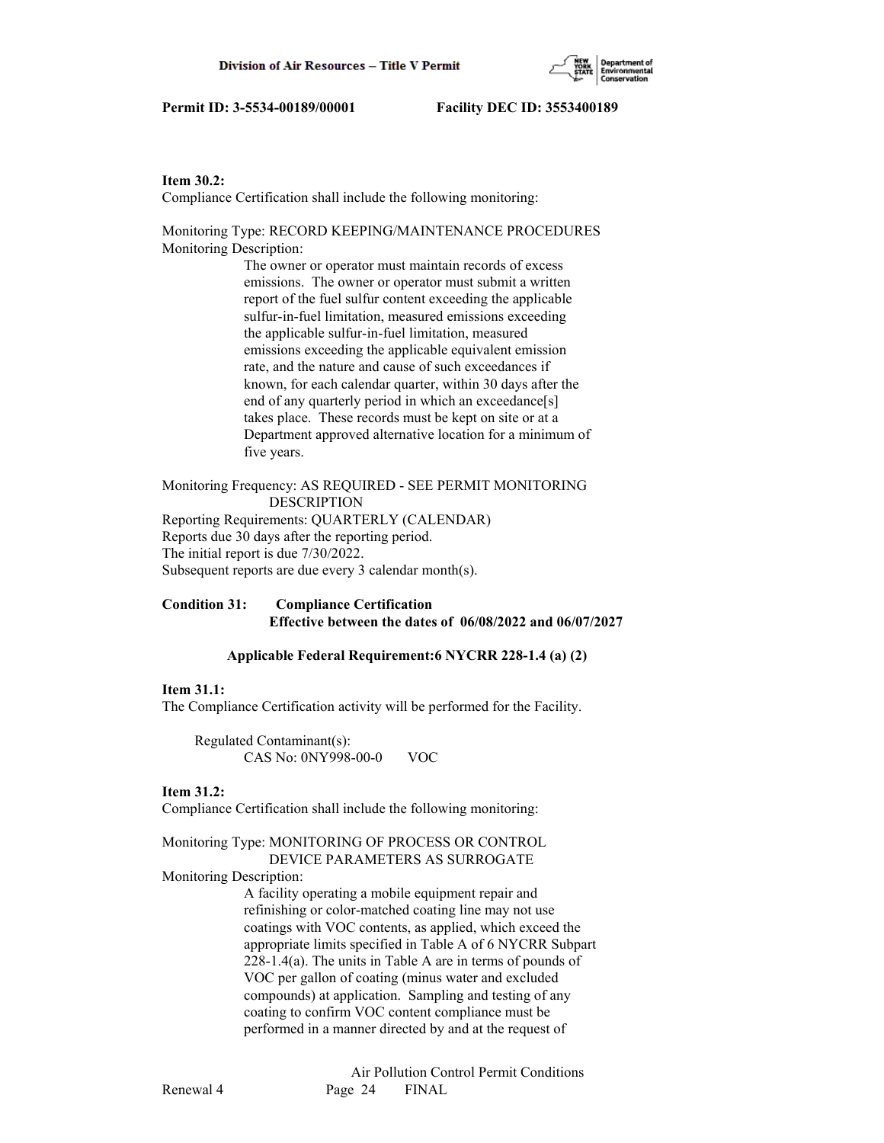

## **Item 30.2:**

Compliance Certification shall include the following monitoring:

Monitoring Type: RECORD KEEPING/MAINTENANCE PROCEDURES Monitoring Description:

> The owner or operator must maintain records of excess emissions. The owner or operator must submit a written report of the fuel sulfur content exceeding the applicable sulfur-in-fuel limitation, measured emissions exceeding the applicable sulfur-in-fuel limitation, measured emissions exceeding the applicable equivalent emission rate, and the nature and cause of such exceedances if known, for each calendar quarter, within 30 days after the end of any quarterly period in which an exceedance[s] takes place. These records must be kept on site or at a Department approved alternative location for a minimum of five years.

Monitoring Frequency: AS REQUIRED - SEE PERMIT MONITORING DESCRIPTION Reporting Requirements: QUARTERLY (CALENDAR) Reports due 30 days after the reporting period. The initial report is due 7/30/2022. Subsequent reports are due every 3 calendar month(s).

# **Condition 31: Compliance Certification Effective between the dates of 06/08/2022 and 06/07/2027**

## **Applicable Federal Requirement:6 NYCRR 228-1.4 (a) (2)**

#### **Item 31.1:**

The Compliance Certification activity will be performed for the Facility.

 Regulated Contaminant(s): CAS No: 0NY998-00-0 VOC

#### **Item 31.2:**

Compliance Certification shall include the following monitoring:

#### Monitoring Type: MONITORING OF PROCESS OR CONTROL DEVICE PARAMETERS AS SURROGATE

#### Monitoring Description:

 A facility operating a mobile equipment repair and refinishing or color-matched coating line may not use coatings with VOC contents, as applied, which exceed the appropriate limits specified in Table A of 6 NYCRR Subpart 228-1.4(a). The units in Table A are in terms of pounds of VOC per gallon of coating (minus water and excluded compounds) at application. Sampling and testing of any coating to confirm VOC content compliance must be performed in a manner directed by and at the request of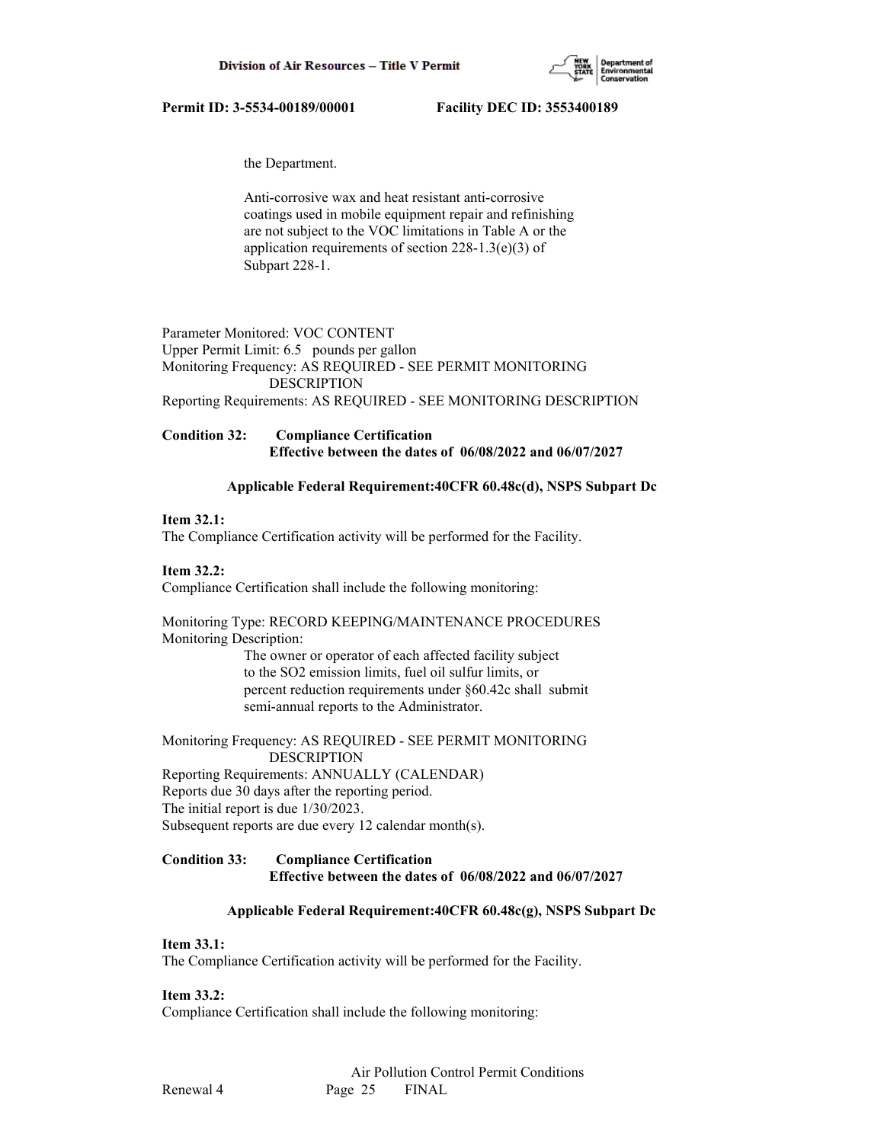

the Department.

 Anti-corrosive wax and heat resistant anti-corrosive coatings used in mobile equipment repair and refinishing are not subject to the VOC limitations in Table A or the application requirements of section 228-1.3(e)(3) of Subpart 228-1.

Parameter Monitored: VOC CONTENT Upper Permit Limit: 6.5 pounds per gallon Monitoring Frequency: AS REQUIRED - SEE PERMIT MONITORING DESCRIPTION Reporting Requirements: AS REQUIRED - SEE MONITORING DESCRIPTION

**Condition 32: Compliance Certification Effective between the dates of 06/08/2022 and 06/07/2027**

#### **Applicable Federal Requirement:40CFR 60.48c(d), NSPS Subpart Dc**

#### **Item 32.1:**

The Compliance Certification activity will be performed for the Facility.

#### **Item 32.2:**

Compliance Certification shall include the following monitoring:

Monitoring Type: RECORD KEEPING/MAINTENANCE PROCEDURES Monitoring Description:

> The owner or operator of each affected facility subject to the SO2 emission limits, fuel oil sulfur limits, or percent reduction requirements under §60.42c shall submit semi-annual reports to the Administrator.

Monitoring Frequency: AS REQUIRED - SEE PERMIT MONITORING DESCRIPTION Reporting Requirements: ANNUALLY (CALENDAR) Reports due 30 days after the reporting period.

The initial report is due 1/30/2023.

Subsequent reports are due every 12 calendar month(s).

# **Condition 33: Compliance Certification Effective between the dates of 06/08/2022 and 06/07/2027**

#### **Applicable Federal Requirement:40CFR 60.48c(g), NSPS Subpart Dc**

#### **Item 33.1:**

The Compliance Certification activity will be performed for the Facility.

#### **Item 33.2:**

Compliance Certification shall include the following monitoring: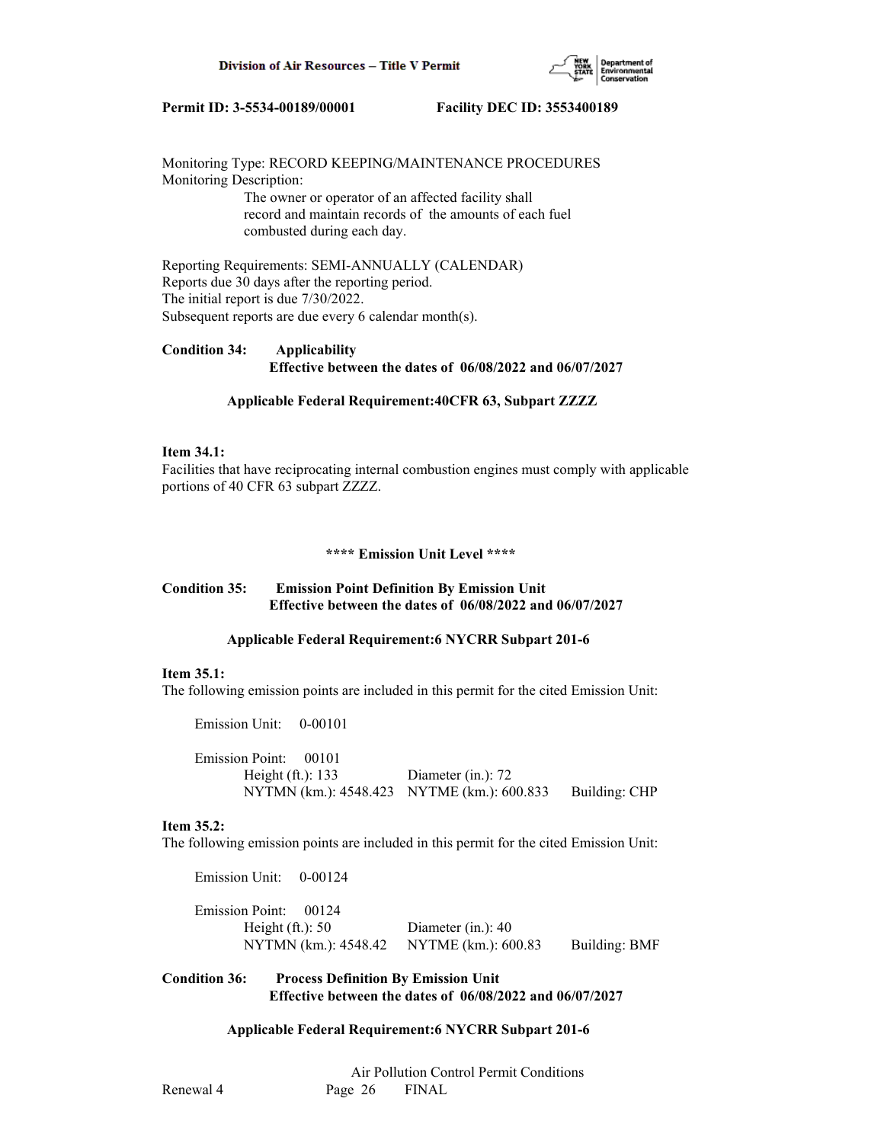

Monitoring Type: RECORD KEEPING/MAINTENANCE PROCEDURES Monitoring Description:

 The owner or operator of an affected facility shall record and maintain records of the amounts of each fuel combusted during each day.

Reporting Requirements: SEMI-ANNUALLY (CALENDAR) Reports due 30 days after the reporting period. The initial report is due 7/30/2022. Subsequent reports are due every 6 calendar month(s).

# **Condition 34: Applicability Effective between the dates of 06/08/2022 and 06/07/2027**

#### **Applicable Federal Requirement:40CFR 63, Subpart ZZZZ**

#### **Item 34.1:**

Facilities that have reciprocating internal combustion engines must comply with applicable portions of 40 CFR 63 subpart ZZZZ.

#### **\*\*\*\* Emission Unit Level \*\*\*\***

# **Condition 35: Emission Point Definition By Emission Unit Effective between the dates of 06/08/2022 and 06/07/2027**

#### **Applicable Federal Requirement:6 NYCRR Subpart 201-6**

#### **Item 35.1:**

The following emission points are included in this permit for the cited Emission Unit:

Emission Unit: 0-00101

 Emission Point: 00101 Height (ft.): 133 Diameter (in.): 72 NYTMN (km.): 4548.423 NYTME (km.): 600.833 Building: CHP

#### **Item 35.2:**

The following emission points are included in this permit for the cited Emission Unit:

 Emission Unit: 0-00124 Emission Point: 00124 Height (ft.): 50 Diameter (in.): 40 NYTMN (km.): 4548.42 NYTME (km.): 600.83 Building: BMF

## **Condition 36: Process Definition By Emission Unit Effective between the dates of 06/08/2022 and 06/07/2027**

## **Applicable Federal Requirement:6 NYCRR Subpart 201-6**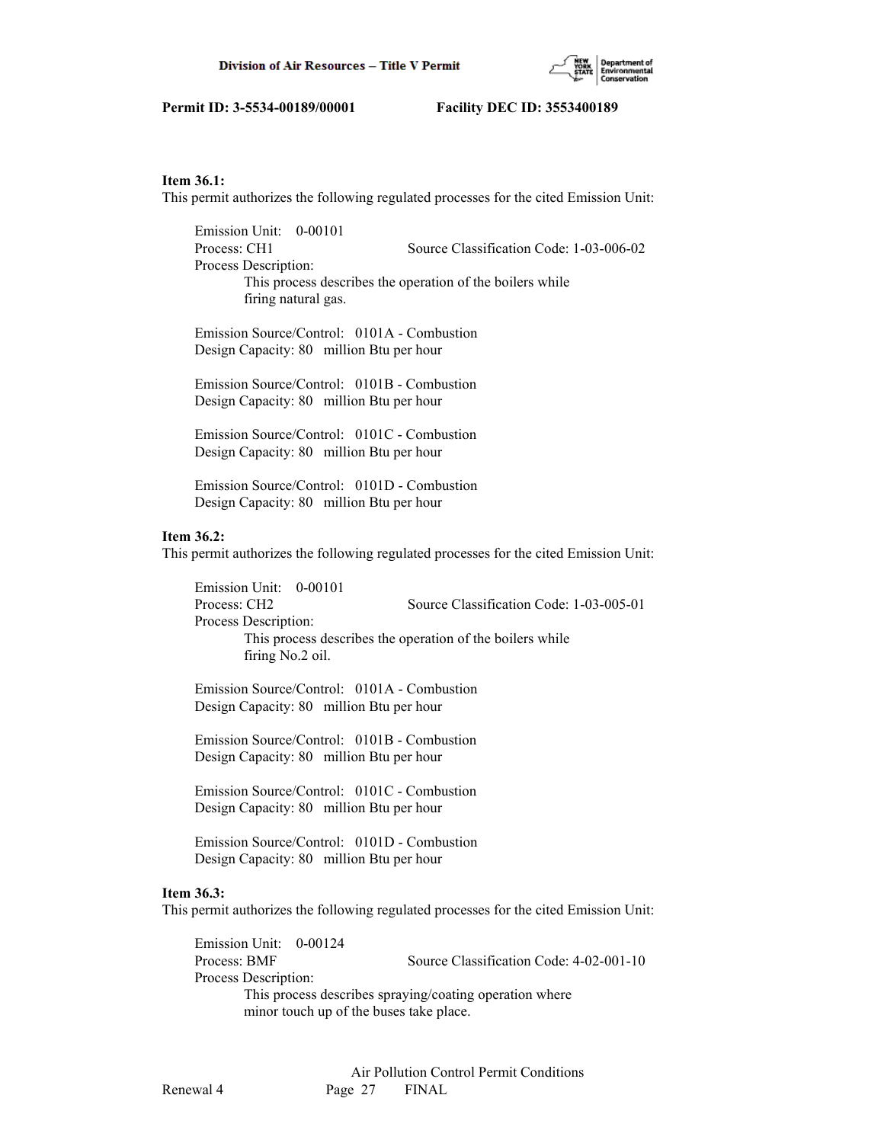

## **Item 36.1:**

This permit authorizes the following regulated processes for the cited Emission Unit:

 Emission Unit: 0-00101 Process: CH1 Source Classification Code: 1-03-006-02 Process Description: This process describes the operation of the boilers while firing natural gas.

 Emission Source/Control: 0101A - Combustion Design Capacity: 80 million Btu per hour

 Emission Source/Control: 0101B - Combustion Design Capacity: 80 million Btu per hour

 Emission Source/Control: 0101C - Combustion Design Capacity: 80 million Btu per hour

 Emission Source/Control: 0101D - Combustion Design Capacity: 80 million Btu per hour

#### **Item 36.2:**

This permit authorizes the following regulated processes for the cited Emission Unit:

 Emission Unit: 0-00101 Process: CH2 Source Classification Code: 1-03-005-01 Process Description: This process describes the operation of the boilers while firing No.2 oil.

 Emission Source/Control: 0101A - Combustion Design Capacity: 80 million Btu per hour

 Emission Source/Control: 0101B - Combustion Design Capacity: 80 million Btu per hour

 Emission Source/Control: 0101C - Combustion Design Capacity: 80 million Btu per hour

 Emission Source/Control: 0101D - Combustion Design Capacity: 80 million Btu per hour

#### **Item 36.3:**

This permit authorizes the following regulated processes for the cited Emission Unit:

 Emission Unit: 0-00124 Process: BMF Source Classification Code: 4-02-001-10 Process Description: This process describes spraying/coating operation where minor touch up of the buses take place.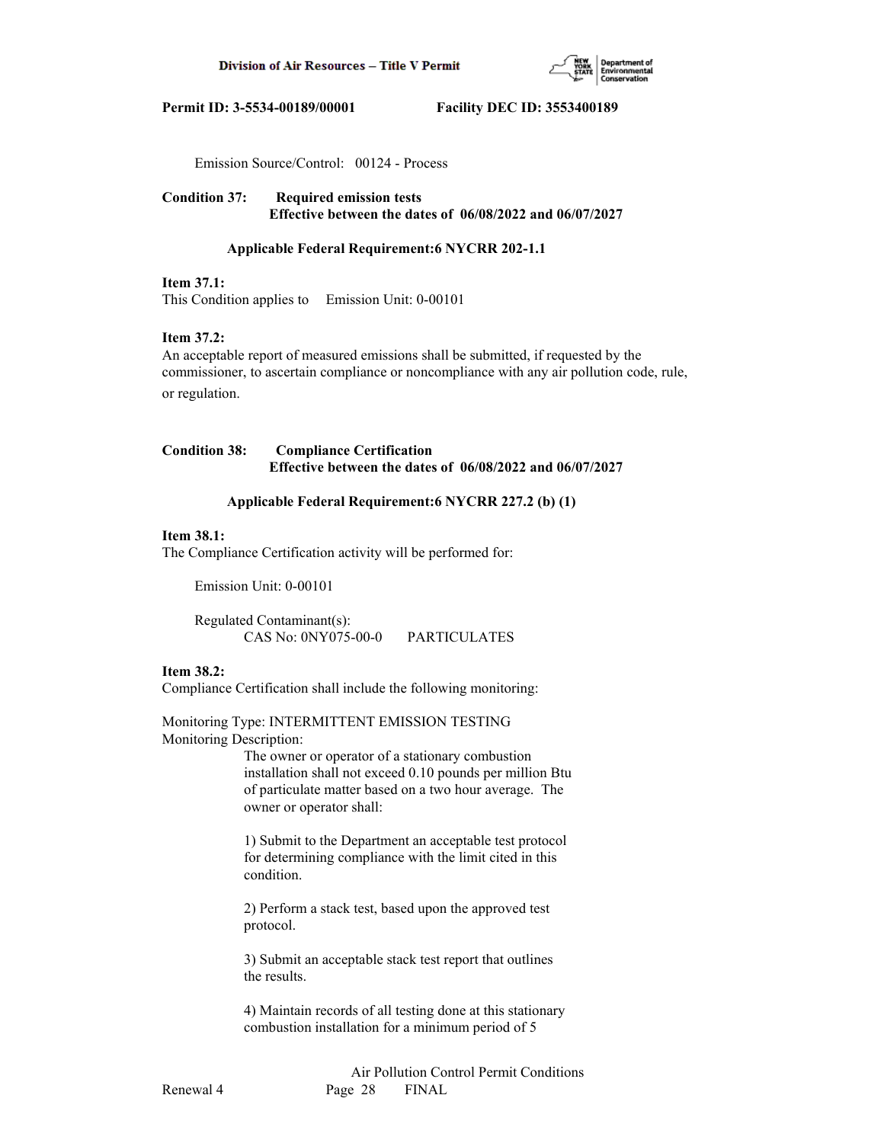

Emission Source/Control: 00124 - Process

**Condition 37: Required emission tests Effective between the dates of 06/08/2022 and 06/07/2027**

#### **Applicable Federal Requirement:6 NYCRR 202-1.1**

#### **Item 37.1:**

This Condition applies to Emission Unit: 0-00101

#### **Item 37.2:**

An acceptable report of measured emissions shall be submitted, if requested by the commissioner, to ascertain compliance or noncompliance with any air pollution code, rule, or regulation.

**Condition 38: Compliance Certification Effective between the dates of 06/08/2022 and 06/07/2027**

#### **Applicable Federal Requirement:6 NYCRR 227.2 (b) (1)**

## **Item 38.1:**

The Compliance Certification activity will be performed for:

Emission Unit: 0-00101

 Regulated Contaminant(s): CAS No: 0NY075-00-0 PARTICULATES

## **Item 38.2:**

Compliance Certification shall include the following monitoring:

Monitoring Type: INTERMITTENT EMISSION TESTING Monitoring Description:

> The owner or operator of a stationary combustion installation shall not exceed 0.10 pounds per million Btu of particulate matter based on a two hour average. The owner or operator shall:

 1) Submit to the Department an acceptable test protocol for determining compliance with the limit cited in this condition.

 2) Perform a stack test, based upon the approved test protocol.

 3) Submit an acceptable stack test report that outlines the results.

 4) Maintain records of all testing done at this stationary combustion installation for a minimum period of 5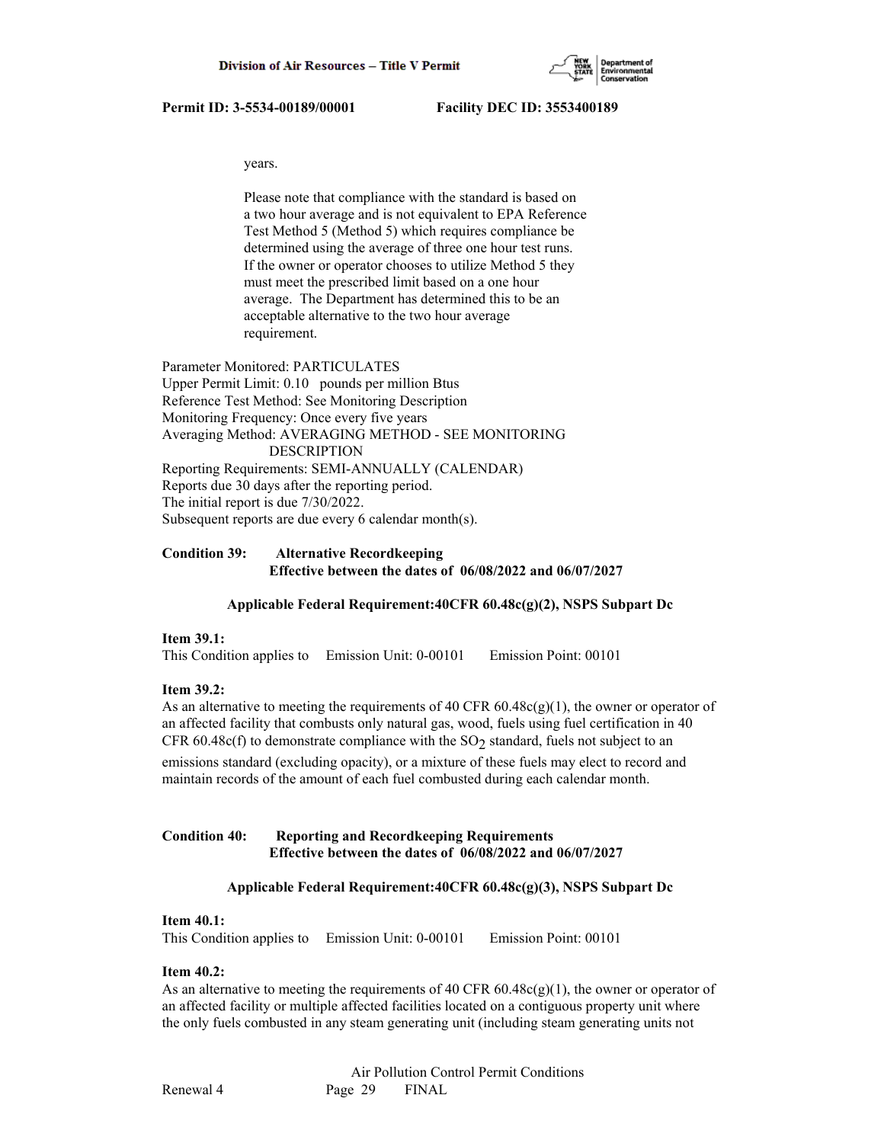

years.

 Please note that compliance with the standard is based on a two hour average and is not equivalent to EPA Reference Test Method 5 (Method 5) which requires compliance be determined using the average of three one hour test runs. If the owner or operator chooses to utilize Method 5 they must meet the prescribed limit based on a one hour average. The Department has determined this to be an acceptable alternative to the two hour average requirement.

Parameter Monitored: PARTICULATES Upper Permit Limit: 0.10 pounds per million Btus Reference Test Method: See Monitoring Description Monitoring Frequency: Once every five years Averaging Method: AVERAGING METHOD - SEE MONITORING DESCRIPTION Reporting Requirements: SEMI-ANNUALLY (CALENDAR) Reports due 30 days after the reporting period. The initial report is due 7/30/2022. Subsequent reports are due every 6 calendar month(s).

# **Condition 39: Alternative Recordkeeping Effective between the dates of 06/08/2022 and 06/07/2027**

## **Applicable Federal Requirement:40CFR 60.48c(g)(2), NSPS Subpart Dc**

## **Item 39.1:**

This Condition applies to Emission Unit: 0-00101 Emission Point: 00101

#### **Item 39.2:**

As an alternative to meeting the requirements of 40 CFR 60.48c(g)(1), the owner or operator of an affected facility that combusts only natural gas, wood, fuels using fuel certification in 40 CFR 60.48c(f) to demonstrate compliance with the  $SO<sub>2</sub>$  standard, fuels not subject to an emissions standard (excluding opacity), or a mixture of these fuels may elect to record and maintain records of the amount of each fuel combusted during each calendar month.

## **Condition 40: Reporting and Recordkeeping Requirements Effective between the dates of 06/08/2022 and 06/07/2027**

#### **Applicable Federal Requirement:40CFR 60.48c(g)(3), NSPS Subpart Dc**

#### **Item 40.1:**

This Condition applies to Emission Unit: 0-00101 Emission Point: 00101

## **Item 40.2:**

As an alternative to meeting the requirements of 40 CFR  $60.48c(g)(1)$ , the owner or operator of an affected facility or multiple affected facilities located on a contiguous property unit where the only fuels combusted in any steam generating unit (including steam generating units not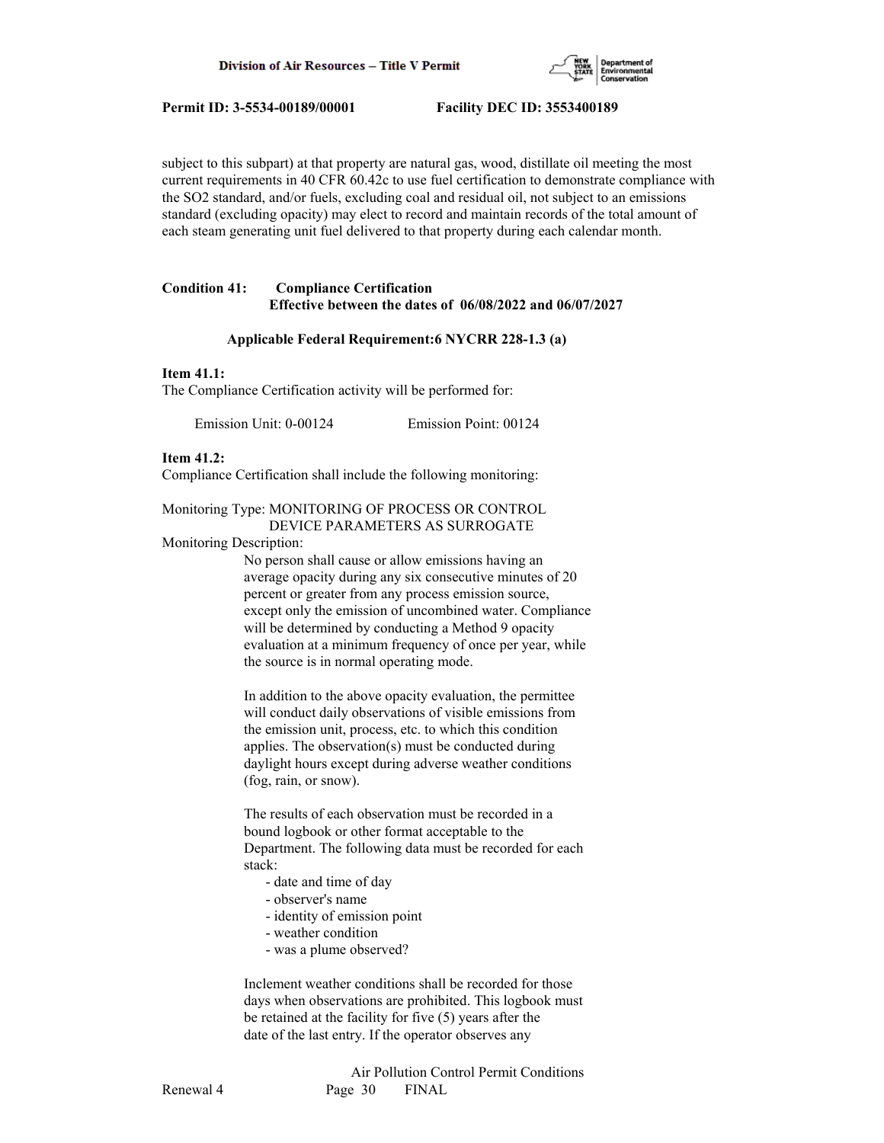

subject to this subpart) at that property are natural gas, wood, distillate oil meeting the most current requirements in 40 CFR 60.42c to use fuel certification to demonstrate compliance with the SO2 standard, and/or fuels, excluding coal and residual oil, not subject to an emissions standard (excluding opacity) may elect to record and maintain records of the total amount of each steam generating unit fuel delivered to that property during each calendar month.

## **Condition 41: Compliance Certification Effective between the dates of 06/08/2022 and 06/07/2027**

#### **Applicable Federal Requirement:6 NYCRR 228-1.3 (a)**

#### **Item 41.1:**

The Compliance Certification activity will be performed for:

Emission Unit: 0-00124 Emission Point: 00124

#### **Item 41.2:**

Compliance Certification shall include the following monitoring:

#### Monitoring Type: MONITORING OF PROCESS OR CONTROL DEVICE PARAMETERS AS SURROGATE

Monitoring Description:

 No person shall cause or allow emissions having an average opacity during any six consecutive minutes of 20 percent or greater from any process emission source, except only the emission of uncombined water. Compliance will be determined by conducting a Method 9 opacity evaluation at a minimum frequency of once per year, while the source is in normal operating mode.

 In addition to the above opacity evaluation, the permittee will conduct daily observations of visible emissions from the emission unit, process, etc. to which this condition applies. The observation(s) must be conducted during daylight hours except during adverse weather conditions (fog, rain, or snow).

 The results of each observation must be recorded in a bound logbook or other format acceptable to the Department. The following data must be recorded for each stack:

- date and time of day
- observer's name
- identity of emission point
- weather condition
- was a plume observed?

 Inclement weather conditions shall be recorded for those days when observations are prohibited. This logbook must be retained at the facility for five (5) years after the date of the last entry. If the operator observes any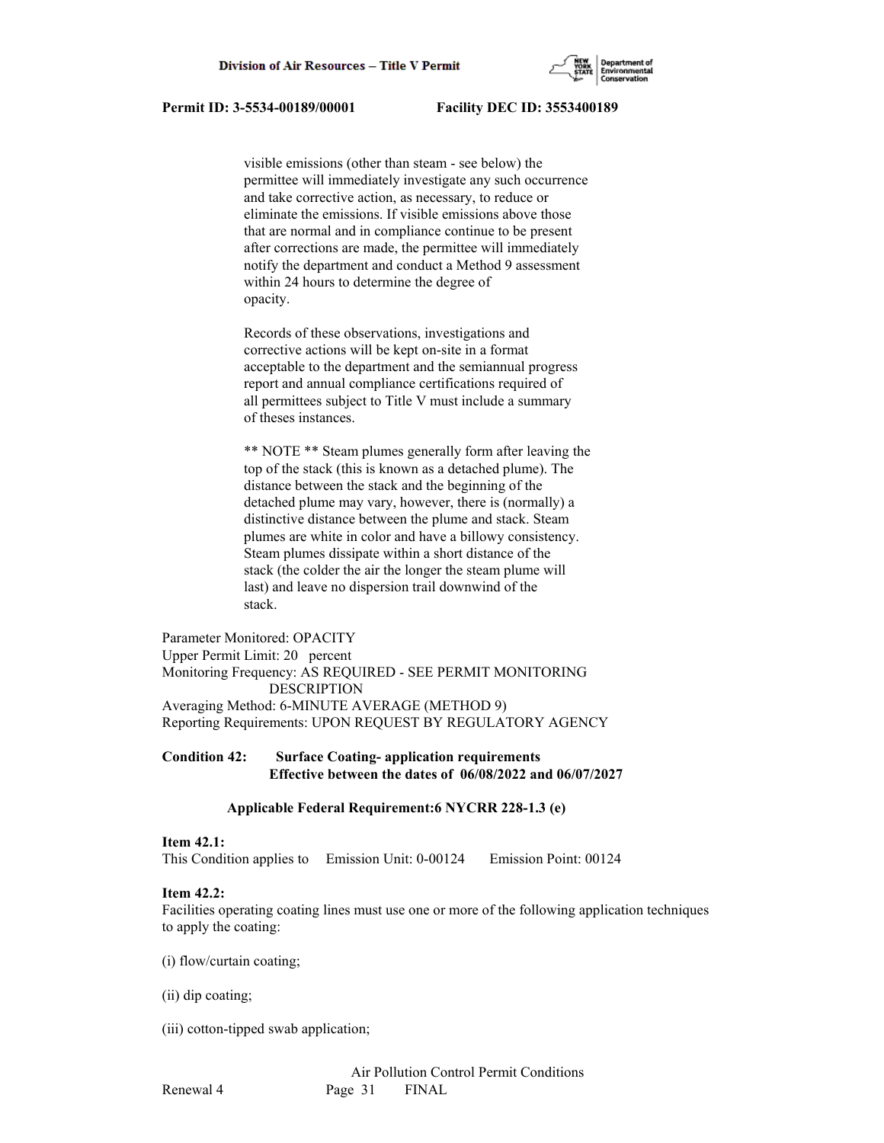

 visible emissions (other than steam - see below) the permittee will immediately investigate any such occurrence and take corrective action, as necessary, to reduce or eliminate the emissions. If visible emissions above those that are normal and in compliance continue to be present after corrections are made, the permittee will immediately notify the department and conduct a Method 9 assessment within 24 hours to determine the degree of opacity.

 Records of these observations, investigations and corrective actions will be kept on-site in a format acceptable to the department and the semiannual progress report and annual compliance certifications required of all permittees subject to Title V must include a summary of theses instances.

 \*\* NOTE \*\* Steam plumes generally form after leaving the top of the stack (this is known as a detached plume). The distance between the stack and the beginning of the detached plume may vary, however, there is (normally) a distinctive distance between the plume and stack. Steam plumes are white in color and have a billowy consistency. Steam plumes dissipate within a short distance of the stack (the colder the air the longer the steam plume will last) and leave no dispersion trail downwind of the stack.

Parameter Monitored: OPACITY Upper Permit Limit: 20 percent Monitoring Frequency: AS REQUIRED - SEE PERMIT MONITORING DESCRIPTION Averaging Method: 6-MINUTE AVERAGE (METHOD 9) Reporting Requirements: UPON REQUEST BY REGULATORY AGENCY

# **Condition 42: Surface Coating- application requirements Effective between the dates of 06/08/2022 and 06/07/2027**

## **Applicable Federal Requirement:6 NYCRR 228-1.3 (e)**

## **Item 42.1:**

This Condition applies to Emission Unit: 0-00124 Emission Point: 00124

## **Item 42.2:**

Facilities operating coating lines must use one or more of the following application techniques to apply the coating:

(i) flow/curtain coating;

- (ii) dip coating;
- (iii) cotton-tipped swab application;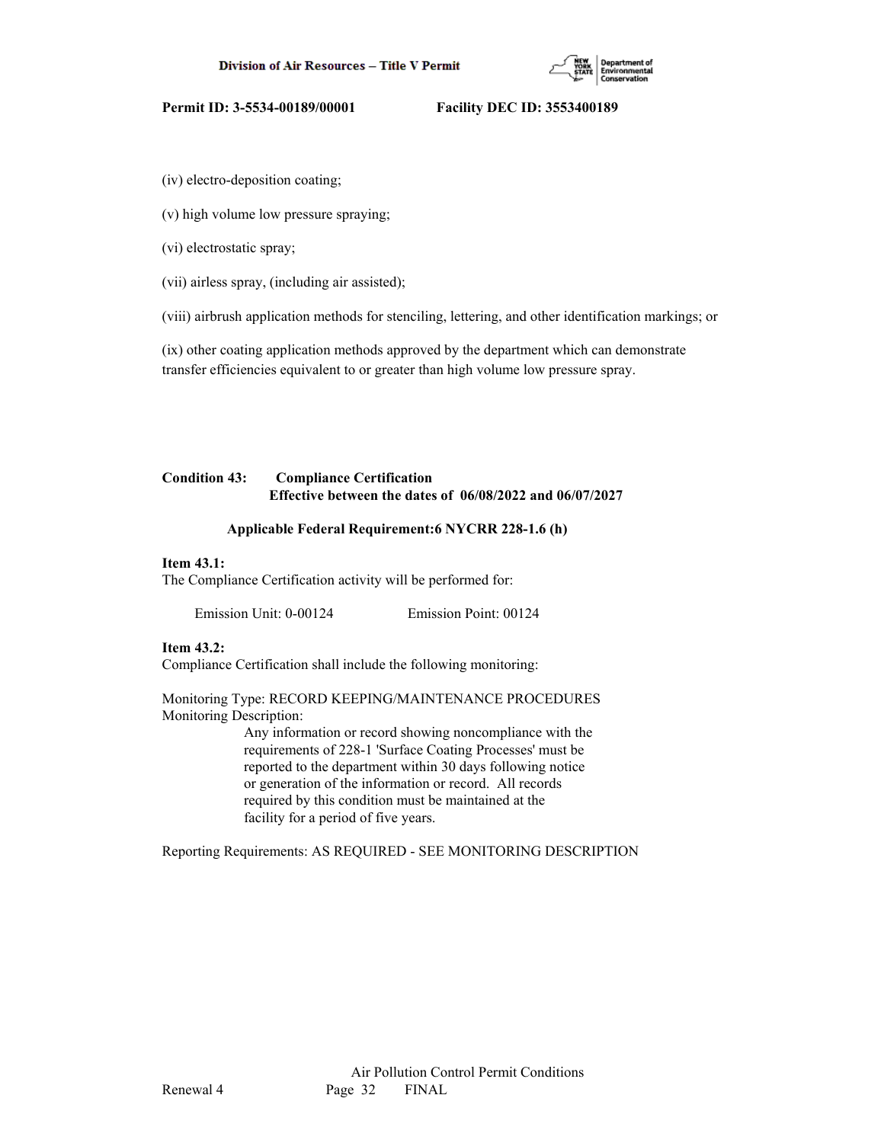

(iv) electro-deposition coating;

(v) high volume low pressure spraying;

(vi) electrostatic spray;

(vii) airless spray, (including air assisted);

(viii) airbrush application methods for stenciling, lettering, and other identification markings; or

(ix) other coating application methods approved by the department which can demonstrate transfer efficiencies equivalent to or greater than high volume low pressure spray.

# **Condition 43: Compliance Certification Effective between the dates of 06/08/2022 and 06/07/2027**

#### **Applicable Federal Requirement:6 NYCRR 228-1.6 (h)**

## **Item 43.1:**

The Compliance Certification activity will be performed for:

Emission Unit: 0-00124 Emission Point: 00124

### **Item 43.2:**

Compliance Certification shall include the following monitoring:

Monitoring Type: RECORD KEEPING/MAINTENANCE PROCEDURES Monitoring Description:

> Any information or record showing noncompliance with the requirements of 228-1 'Surface Coating Processes' must be reported to the department within 30 days following notice or generation of the information or record. All records required by this condition must be maintained at the facility for a period of five years.

Reporting Requirements: AS REQUIRED - SEE MONITORING DESCRIPTION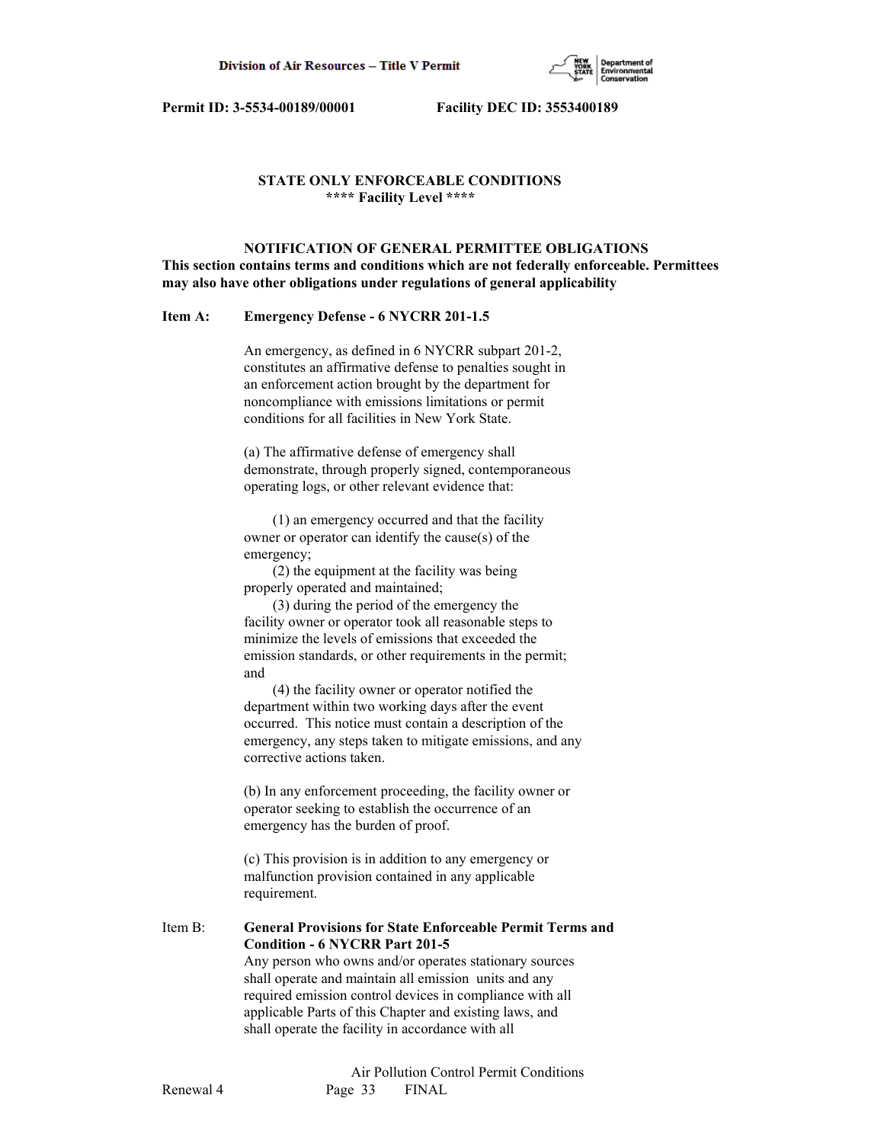

# **STATE ONLY ENFORCEABLE CONDITIONS \*\*\*\* Facility Level \*\*\*\***

 **NOTIFICATION OF GENERAL PERMITTEE OBLIGATIONS This section contains terms and conditions which are not federally enforceable. Permittees may also have other obligations under regulations of general applicability**

### **Item A: Emergency Defense - 6 NYCRR 201-1.5**

 An emergency, as defined in 6 NYCRR subpart 201-2, constitutes an affirmative defense to penalties sought in an enforcement action brought by the department for noncompliance with emissions limitations or permit conditions for all facilities in New York State.

 (a) The affirmative defense of emergency shall demonstrate, through properly signed, contemporaneous operating logs, or other relevant evidence that:

 (1) an emergency occurred and that the facility owner or operator can identify the cause(s) of the emergency;

 (2) the equipment at the facility was being properly operated and maintained;

 (3) during the period of the emergency the facility owner or operator took all reasonable steps to minimize the levels of emissions that exceeded the emission standards, or other requirements in the permit; and

 (4) the facility owner or operator notified the department within two working days after the event occurred. This notice must contain a description of the emergency, any steps taken to mitigate emissions, and any corrective actions taken.

 (b) In any enforcement proceeding, the facility owner or operator seeking to establish the occurrence of an emergency has the burden of proof.

 (c) This provision is in addition to any emergency or malfunction provision contained in any applicable requirement.

Item B: **General Provisions for State Enforceable Permit Terms and Condition - 6 NYCRR Part 201-5** Any person who owns and/or operates stationary sources shall operate and maintain all emission units and any required emission control devices in compliance with all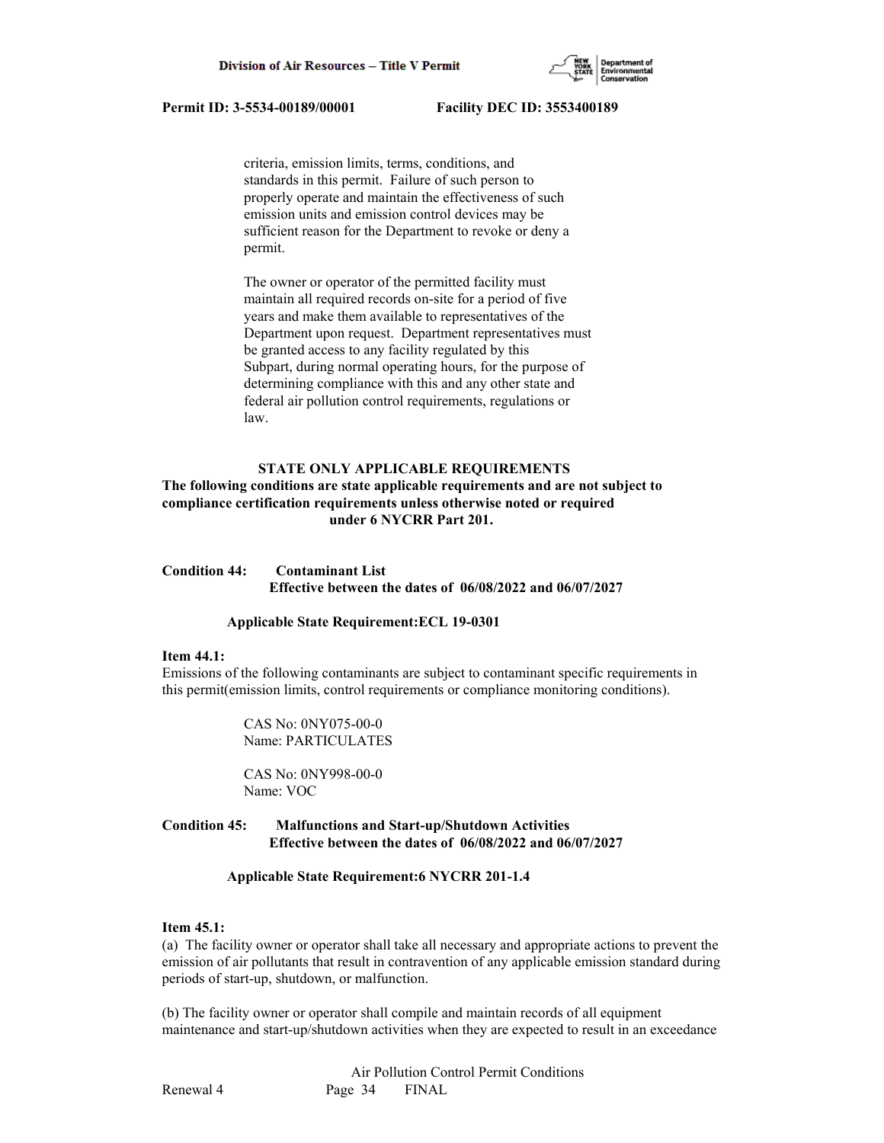

 criteria, emission limits, terms, conditions, and standards in this permit. Failure of such person to properly operate and maintain the effectiveness of such emission units and emission control devices may be sufficient reason for the Department to revoke or deny a permit.

 The owner or operator of the permitted facility must maintain all required records on-site for a period of five years and make them available to representatives of the Department upon request. Department representatives must be granted access to any facility regulated by this Subpart, during normal operating hours, for the purpose of determining compliance with this and any other state and federal air pollution control requirements, regulations or law.

## **STATE ONLY APPLICABLE REQUIREMENTS**

# **The following conditions are state applicable requirements and are not subject to compliance certification requirements unless otherwise noted or required under 6 NYCRR Part 201.**

# **Condition 44: Contaminant List Effective between the dates of 06/08/2022 and 06/07/2027**

#### **Applicable State Requirement:ECL 19-0301**

#### **Item 44.1:**

Emissions of the following contaminants are subject to contaminant specific requirements in this permit(emission limits, control requirements or compliance monitoring conditions).

> CAS No: 0NY075-00-0 Name: PARTICULATES

 CAS No: 0NY998-00-0 Name: VOC

# **Condition 45: Malfunctions and Start-up/Shutdown Activities Effective between the dates of 06/08/2022 and 06/07/2027**

#### **Applicable State Requirement:6 NYCRR 201-1.4**

## **Item 45.1:**

(a) The facility owner or operator shall take all necessary and appropriate actions to prevent the emission of air pollutants that result in contravention of any applicable emission standard during periods of start-up, shutdown, or malfunction.

(b) The facility owner or operator shall compile and maintain records of all equipment maintenance and start-up/shutdown activities when they are expected to result in an exceedance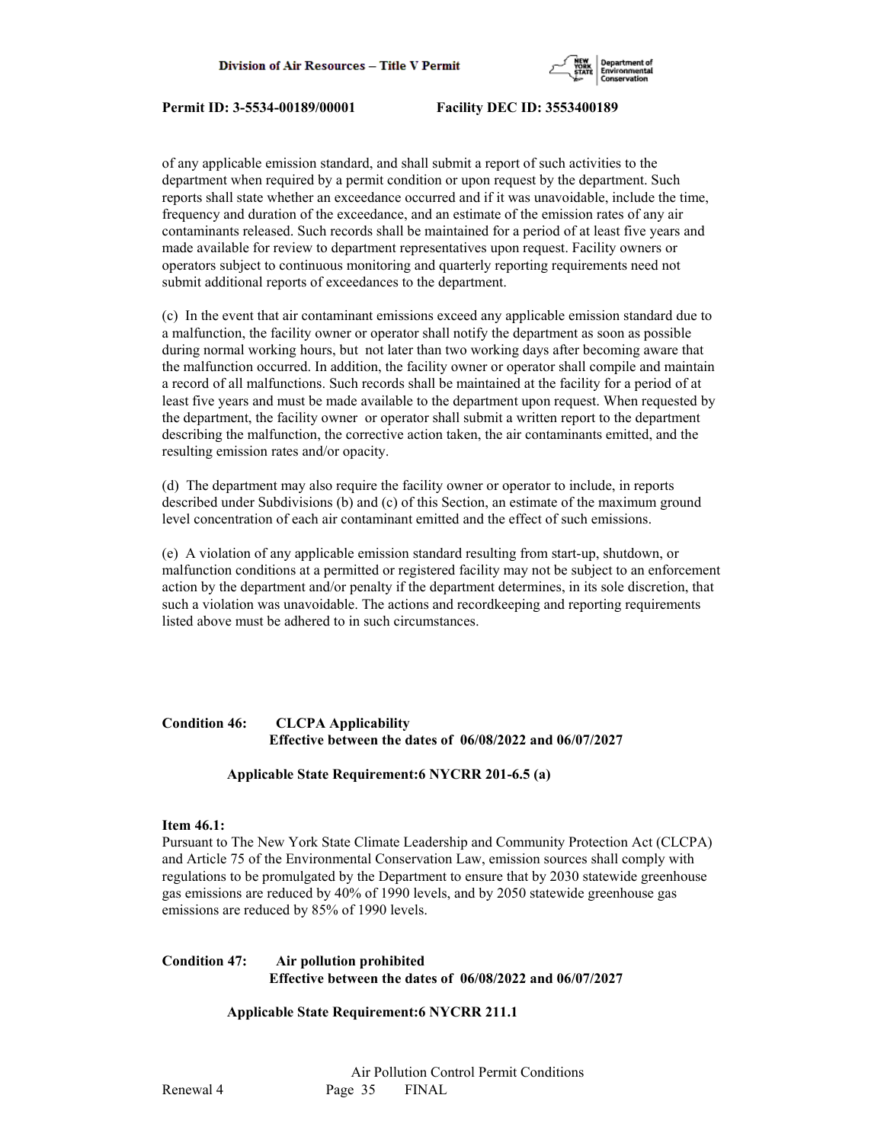

of any applicable emission standard, and shall submit a report of such activities to the department when required by a permit condition or upon request by the department. Such reports shall state whether an exceedance occurred and if it was unavoidable, include the time, frequency and duration of the exceedance, and an estimate of the emission rates of any air contaminants released. Such records shall be maintained for a period of at least five years and made available for review to department representatives upon request. Facility owners or operators subject to continuous monitoring and quarterly reporting requirements need not submit additional reports of exceedances to the department.

(c) In the event that air contaminant emissions exceed any applicable emission standard due to a malfunction, the facility owner or operator shall notify the department as soon as possible during normal working hours, but not later than two working days after becoming aware that the malfunction occurred. In addition, the facility owner or operator shall compile and maintain a record of all malfunctions. Such records shall be maintained at the facility for a period of at least five years and must be made available to the department upon request. When requested by the department, the facility owner or operator shall submit a written report to the department describing the malfunction, the corrective action taken, the air contaminants emitted, and the resulting emission rates and/or opacity.

(d) The department may also require the facility owner or operator to include, in reports described under Subdivisions (b) and (c) of this Section, an estimate of the maximum ground level concentration of each air contaminant emitted and the effect of such emissions.

(e) A violation of any applicable emission standard resulting from start-up, shutdown, or malfunction conditions at a permitted or registered facility may not be subject to an enforcement action by the department and/or penalty if the department determines, in its sole discretion, that such a violation was unavoidable. The actions and recordkeeping and reporting requirements listed above must be adhered to in such circumstances.

# **Condition 46: CLCPA Applicability Effective between the dates of 06/08/2022 and 06/07/2027**

## **Applicable State Requirement:6 NYCRR 201-6.5 (a)**

#### **Item 46.1:**

Pursuant to The New York State Climate Leadership and Community Protection Act (CLCPA) and Article 75 of the Environmental Conservation Law, emission sources shall comply with regulations to be promulgated by the Department to ensure that by 2030 statewide greenhouse gas emissions are reduced by 40% of 1990 levels, and by 2050 statewide greenhouse gas emissions are reduced by 85% of 1990 levels.

# **Condition 47: Air pollution prohibited Effective between the dates of 06/08/2022 and 06/07/2027**

## **Applicable State Requirement:6 NYCRR 211.1**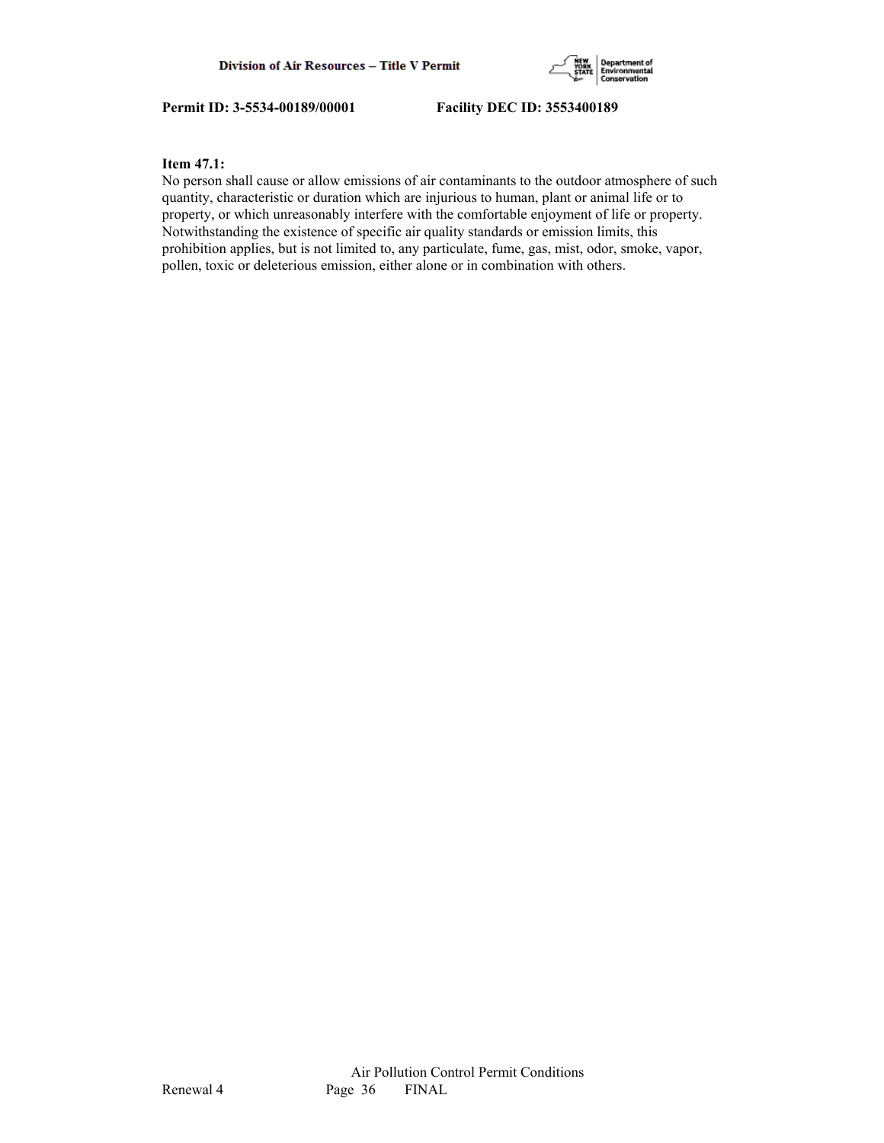

## **Item 47.1:**

No person shall cause or allow emissions of air contaminants to the outdoor atmosphere of such quantity, characteristic or duration which are injurious to human, plant or animal life or to property, or which unreasonably interfere with the comfortable enjoyment of life or property. Notwithstanding the existence of specific air quality standards or emission limits, this prohibition applies, but is not limited to, any particulate, fume, gas, mist, odor, smoke, vapor, pollen, toxic or deleterious emission, either alone or in combination with others.